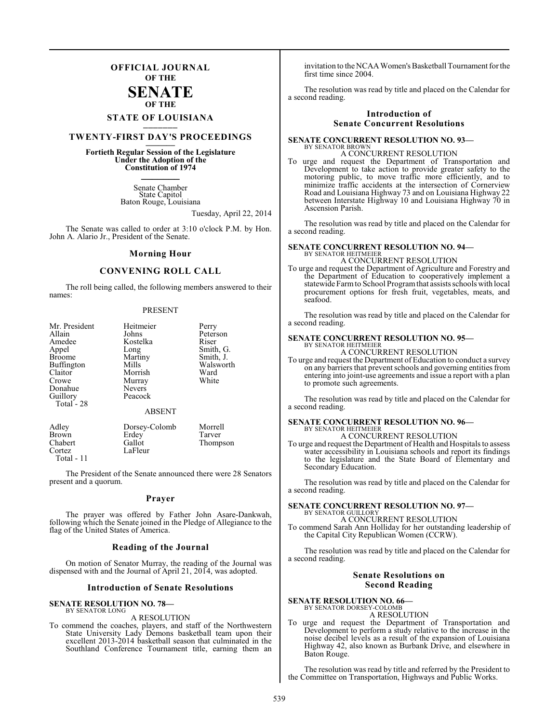### **OFFICIAL JOURNAL OF THE**

#### **SENATE OF THE**

# **STATE OF LOUISIANA \_\_\_\_\_\_\_**

### **TWENTY-FIRST DAY'S PROCEEDINGS \_\_\_\_\_\_\_**

### **Fortieth Regular Session of the Legislature Under the Adoption of the Constitution of 1974 \_\_\_\_\_\_\_**

Senate Chamber State Capitol Baton Rouge, Louisiana

Tuesday, April 22, 2014

The Senate was called to order at 3:10 o'clock P.M. by Hon. John A. Alario Jr., President of the Senate.

#### **Morning Hour**

#### **CONVENING ROLL CALL**

The roll being called, the following members answered to their names:

#### PRESENT

| Mr. President | Heitmeier     | Perry     |
|---------------|---------------|-----------|
| Allain        | Johns         | Peterson  |
| Amedee        | Kostelka      | Riser     |
| Appel         | Long          | Smith, G. |
| <b>Broome</b> | Martiny       | Smith, J. |
| Buffington    | Mills         | Walsworth |
| Claitor       | Morrish       | Ward      |
| Crowe         | Murray        | White     |
| Donahue       | <b>Nevers</b> |           |
| Guillory      | Peacock       |           |
| Total - 28    |               |           |
|               | <b>ABSENT</b> |           |
| Adley         | Dorsey-Colomb | Morrell   |
| Brown         | Erdey         | Tarver    |
| Chabert       | Gallot        | Thompson  |
| Cortez        | LaFleur       |           |

Total - 11

The President of the Senate announced there were 28 Senators present and a quorum.

#### **Prayer**

The prayer was offered by Father John Asare-Dankwah, following which the Senate joined in the Pledge of Allegiance to the flag of the United States of America.

#### **Reading of the Journal**

On motion of Senator Murray, the reading of the Journal was dispensed with and the Journal of April 21, 2014, was adopted.

#### **Introduction of Senate Resolutions**

### **SENATE RESOLUTION NO. 78—**

#### BY SENATOR LONG A RESOLUTION

To commend the coaches, players, and staff of the Northwestern State University Lady Demons basketball team upon their excellent 2013-2014 basketball season that culminated in the Southland Conference Tournament title, earning them an invitation to the NCAA Women's Basketball Tournament for the first time since 2004.

The resolution was read by title and placed on the Calendar for a second reading.

#### **Introduction of Senate Concurrent Resolutions**

#### **SENATE CONCURRENT RESOLUTION NO. 93—** BY SENATOR BROWN A CONCURRENT RESOLUTION

To urge and request the Department of Transportation and Development to take action to provide greater safety to the motoring public, to move traffic more efficiently, and to minimize traffic accidents at the intersection of Cornerview Road and Louisiana Highway 73 and on Louisiana Highway 22 between Interstate Highway 10 and Louisiana Highway 70 in Ascension Parish.

The resolution was read by title and placed on the Calendar for a second reading.

#### **SENATE CONCURRENT RESOLUTION NO. 94—** BY SENATOR HEITMEIER A CONCURRENT RESOLUTION

To urge and request the Department of Agriculture and Forestry and the Department of Education to cooperatively implement a statewide Farm to School Program that assists schools with local procurement options for fresh fruit, vegetables, meats, and seafood.

The resolution was read by title and placed on the Calendar for a second reading.

#### **SENATE CONCURRENT RESOLUTION NO. 95—** BY SENATOR HEITMEIER

A CONCURRENT RESOLUTION

To urge and request the Department of Education to conduct a survey on any barriers that prevent schools and governing entities from entering into joint-use agreements and issue a report with a plan to promote such agreements.

The resolution was read by title and placed on the Calendar for a second reading.

## **SENATE CONCURRENT RESOLUTION NO. 96—** BY SENATOR HEITMEIER

A CONCURRENT RESOLUTION

To urge and request the Department of Health and Hospitals to assess water accessibility in Louisiana schools and report its findings to the legislature and the State Board of Elementary and Secondary Education.

The resolution was read by title and placed on the Calendar for a second reading.

#### **SENATE CONCURRENT RESOLUTION NO. 97—** BY SENATOR GUILLORY

A CONCURRENT RESOLUTION

To commend Sarah Ann Holliday for her outstanding leadership of the Capital City Republican Women (CCRW).

The resolution was read by title and placed on the Calendar for a second reading.

#### **Senate Resolutions on Second Reading**

### **SENATE RESOLUTION NO. 66—** BY SENATOR DORSEY-COLOMB A RESOLUTION

To urge and request the Department of Transportation and Development to perform a study relative to the increase in the noise decibel levels as a result of the expansion of Louisiana Highway 42, also known as Burbank Drive, and elsewhere in Baton Rouge.

The resolution was read by title and referred by the President to the Committee on Transportation, Highways and Public Works.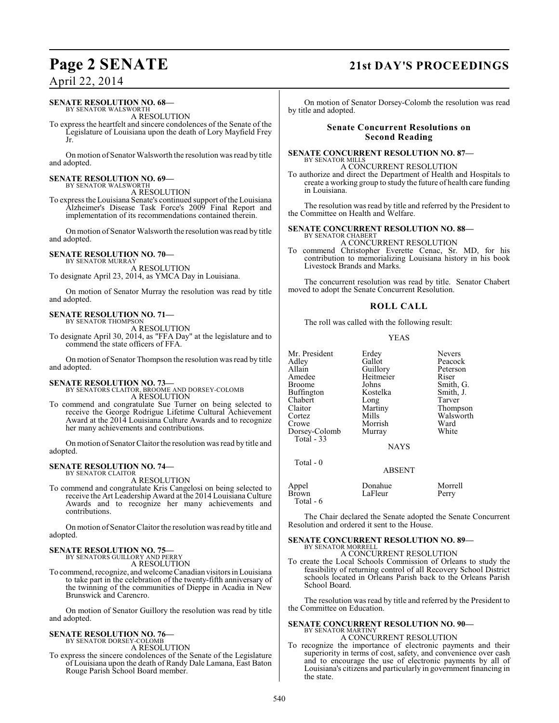# **Page 2 SENATE 21st DAY'S PROCEEDINGS**

April 22, 2014

### **SENATE RESOLUTION NO. 68—**

BY SENATOR WALSWORTH A RESOLUTION

To express the heartfelt and sincere condolences of the Senate of the Legislature of Louisiana upon the death of Lory Mayfield Frey Jr.

On motion of Senator Walsworth the resolution was read by title and adopted.

#### **SENATE RESOLUTION NO. 69—** BY SENATOR WALSWORTH

A RESOLUTION

To express the Louisiana Senate's continued support of the Louisiana Alzheimer's Disease Task Force's 2009 Final Report and implementation of its recommendations contained therein.

On motion of Senator Walsworth the resolution was read by title and adopted.

### **SENATE RESOLUTION NO. 70—**

BY SENATOR MURRAY A RESOLUTION To designate April 23, 2014, as YMCA Day in Louisiana.

On motion of Senator Murray the resolution was read by title and adopted.

#### **SENATE RESOLUTION NO. 71—** BY SENATOR THOMPSON

A RESOLUTION

To designate April 30, 2014, as "FFA Day" at the legislature and to commend the state officers of FFA.

On motion of Senator Thompson the resolution was read by title and adopted.

#### **SENATE RESOLUTION NO. 73—** BY SENATORS CLAITOR, BROOME AND DORSEY-COLOMB A RESOLUTION

To commend and congratulate Sue Turner on being selected to receive the George Rodrigue Lifetime Cultural Achievement Award at the 2014 Louisiana Culture Awards and to recognize her many achievements and contributions.

On motion of Senator Claitor the resolution was read by title and adopted.

#### **SENATE RESOLUTION NO. 74—** BY SENATOR CLAITOR

A RESOLUTION

To commend and congratulate Kris Cangelosi on being selected to receive the Art Leadership Award at the 2014 Louisiana Culture Awards and to recognize her many achievements and contributions.

On motion of Senator Claitor the resolution was read by title and adopted.

# **SENATE RESOLUTION NO. 75—** BY SENATORS GUILLORY AND PERRY

A RESOLUTION

To commend, recognize, and welcome Canadian visitors in Louisiana to take part in the celebration of the twenty-fifth anniversary of the twinning of the communities of Dieppe in Acadia in New Brunswick and Carencro.

On motion of Senator Guillory the resolution was read by title and adopted.

### **SENATE RESOLUTION NO. 76—**

BY SENATOR DORSEY-COLOMB A RESOLUTION

To express the sincere condolences of the Senate of the Legislature of Louisiana upon the death of Randy Dale Lamana, East Baton Rouge Parish School Board member.

On motion of Senator Dorsey-Colomb the resolution was read by title and adopted.

#### **Senate Concurrent Resolutions on Second Reading**

#### **SENATE CONCURRENT RESOLUTION NO. 87—** BY SENATOR MILLS

A CONCURRENT RESOLUTION

To authorize and direct the Department of Health and Hospitals to create a working group to study the future of health care funding in Louisiana.

The resolution was read by title and referred by the President to the Committee on Health and Welfare.

#### **SENATE CONCURRENT RESOLUTION NO. 88—** BY SENATOR CHABERT

A CONCURRENT RESOLUTION

To commend Christopher Everette Cenac, Sr. MD, for his contribution to memorializing Louisiana history in his book Livestock Brands and Marks.

The concurrent resolution was read by title. Senator Chabert moved to adopt the Senate Concurrent Resolution.

### **ROLL CALL**

The roll was called with the following result:

#### YEAS

Mr. President Erdey Nevers<br>
Adley Gallot Peacoc Adley Gallot Peacock Allain Guillory Peterson<br>Amedee Heitmeier Riser Amedee Heitmeier<br>Broome Johns Buffington Kostelka Smith,<br>
Chabert Long Tarver Chabert Long<br>Claitor Martiny Claitor Martiny Thompson<br>Cortez Mills Walsworth Cortez Mills Walsworth<br>Crowe Morrish Ward Dorsey-Colomb Total - 33

Johns Smith, G.<br>Kostelka Smith, J. Morrish Ward<br>
Murray White

#### NAYS

ABSENT

Total - 0

| Appel              | Donahue | Morrell |
|--------------------|---------|---------|
| Brown<br>Total - 6 | LaFleur | Perry   |

The Chair declared the Senate adopted the Senate Concurrent Resolution and ordered it sent to the House.

#### **SENATE CONCURRENT RESOLUTION NO. 89—** BY SENATOR MORRELL

A CONCURRENT RESOLUTION

To create the Local Schools Commission of Orleans to study the feasibility of returning control of all Recovery School District schools located in Orleans Parish back to the Orleans Parish School Board.

The resolution was read by title and referred by the President to the Committee on Education.

#### **SENATE CONCURRENT RESOLUTION NO. 90—** BY SENATOR MARTINY A CONCURRENT RESOLUTION

To recognize the importance of electronic payments and their superiority in terms of cost, safety, and convenience over cash and to encourage the use of electronic payments by all of Louisiana's citizens and particularly in government financing in the state.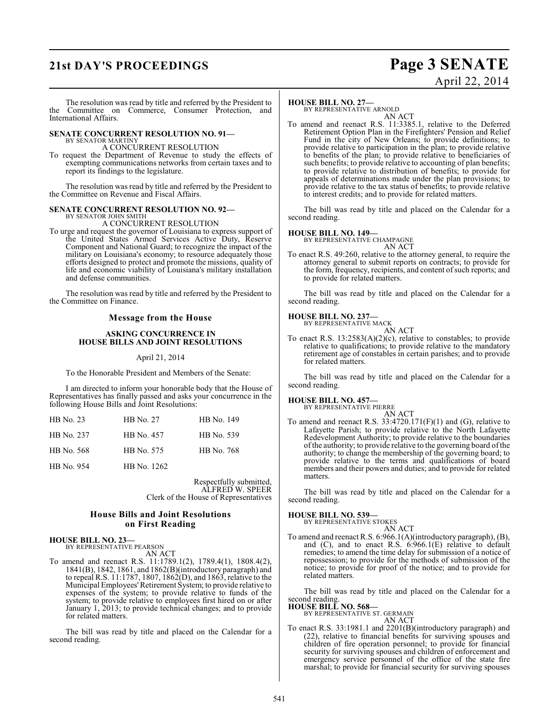# **21st DAY'S PROCEEDINGS Page 3 SENATE**

# April 22, 2014

The resolution was read by title and referred by the President to the Committee on Commerce, Consumer Protection, and International Affairs.

#### **SENATE CONCURRENT RESOLUTION NO. 91—** BY SENATOR MARTINY

A CONCURRENT RESOLUTION

To request the Department of Revenue to study the effects of exempting communications networks from certain taxes and to report its findings to the legislature.

The resolution was read by title and referred by the President to the Committee on Revenue and Fiscal Affairs.

#### **SENATE CONCURRENT RESOLUTION NO. 92—** BY SENATOR JOHN SMITH

A CONCURRENT RESOLUTION

To urge and request the governor of Louisiana to express support of the United States Armed Services Active Duty, Reserve Component and National Guard; to recognize the impact of the military on Louisiana's economy; to resource adequately those efforts designed to protect and promote the missions, quality of life and economic viability of Louisiana's military installation and defense communities.

The resolution was read by title and referred by the President to the Committee on Finance.

#### **Message from the House**

#### **ASKING CONCURRENCE IN HOUSE BILLS AND JOINT RESOLUTIONS**

#### April 21, 2014

To the Honorable President and Members of the Senate:

I am directed to inform your honorable body that the House of Representatives has finally passed and asks your concurrence in the following House Bills and Joint Resolutions:

| HB No. 23  | <b>HB</b> No. 27 | HB No. 149 |
|------------|------------------|------------|
| HB No. 237 | HB No. 457       | HB No. 539 |
| HB No. 568 | HB No. 575       | HB No. 768 |
| HB No. 954 | HB No. 1262      |            |

Respectfully submitted, ALFRED W. SPEER Clerk of the House of Representatives

#### **House Bills and Joint Resolutions on First Reading**

#### **HOUSE BILL NO. 23—** BY REPRESENTATIVE PEARSON

AN ACT

To amend and reenact R.S. 11:1789.1(2), 1789.4(1), 1808.4(2), 1841(B), 1842, 1861, and 1862(B)(introductory paragraph) and to repeal R.S. 11:1787, 1807, 1862(D), and 1863, relative to the Municipal Employees' Retirement System; to provide relative to expenses of the system; to provide relative to funds of the system; to provide relative to employees first hired on or after January 1, 2013; to provide technical changes; and to provide for related matters.

The bill was read by title and placed on the Calendar for a second reading.

#### **HOUSE BILL NO. 27—**

BY REPRESENTATIVE ARNOLD AN ACT

To amend and reenact R.S. 11:3385.1, relative to the Deferred Retirement Option Plan in the Firefighters' Pension and Relief Fund in the city of New Orleans; to provide definitions; to provide relative to participation in the plan; to provide relative to benefits of the plan; to provide relative to beneficiaries of such benefits; to provide relative to accounting of plan benefits; to provide relative to distribution of benefits; to provide for appeals of determinations made under the plan provisions; to provide relative to the tax status of benefits; to provide relative to interest credits; and to provide for related matters.

The bill was read by title and placed on the Calendar for a second reading.

#### **HOUSE BILL NO. 149—**

BY REPRESENTATIVE CHAMPAGNE

AN ACT To enact R.S. 49:260, relative to the attorney general, to require the attorney general to submit reports on contracts; to provide for the form, frequency, recipients, and content of such reports; and to provide for related matters.

The bill was read by title and placed on the Calendar for a second reading.

### **HOUSE BILL NO. 237—** BY REPRESENTATIVE MACK

AN ACT

To enact R.S. 13:2583(A)(2)(c), relative to constables; to provide relative to qualifications; to provide relative to the mandatory retirement age of constables in certain parishes; and to provide for related matters.

The bill was read by title and placed on the Calendar for a second reading.

### **HOUSE BILL NO. 457—** BY REPRESENTATIVE PIERRE

AN ACT To amend and reenact R.S. 33:4720.171(F)(1) and (G), relative to Lafayette Parish; to provide relative to the North Lafayette Redevelopment Authority; to provide relative to the boundaries ofthe authority; to provide relative to the governing board of the authority; to change the membership of the governing board; to provide relative to the terms and qualifications of board members and their powers and duties; and to provide for related matters.

The bill was read by title and placed on the Calendar for a second reading.

**HOUSE BILL NO. 539—** BY REPRESENTATIVE STOKES AN ACT

To amend and reenact R.S. 6:966.1(A)(introductory paragraph), (B), and (C), and to enact R.S. 6:966.1(E) relative to default remedies; to amend the time delay for submission of a notice of repossession; to provide for the methods of submission of the notice; to provide for proof of the notice; and to provide for related matters.

The bill was read by title and placed on the Calendar for a second reading.

**HOUSE BILL NO. 568—** BY REPRESENTATIVE ST. GERMAIN

AN ACT

To enact R.S. 33:1981.1 and 2201(B)(introductory paragraph) and (22), relative to financial benefits for surviving spouses and children of fire operation personnel; to provide for financial security for surviving spouses and children of enforcement and emergency service personnel of the office of the state fire marshal; to provide for financial security for surviving spouses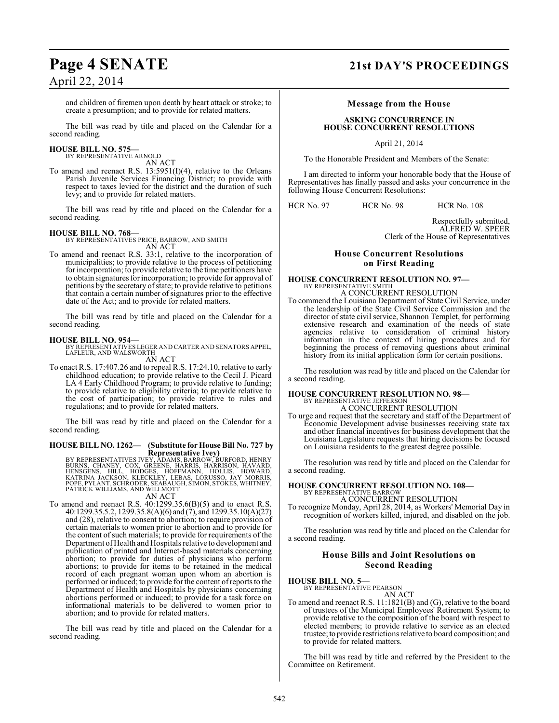and children of firemen upon death by heart attack or stroke; to create a presumption; and to provide for related matters.

The bill was read by title and placed on the Calendar for a second reading.

#### **HOUSE BILL NO. 575—** BY REPRESENTATIVE ARNOLD

AN ACT

To amend and reenact R.S. 13:5951(I)(4), relative to the Orleans Parish Juvenile Services Financing District; to provide with respect to taxes levied for the district and the duration of such levy; and to provide for related matters.

The bill was read by title and placed on the Calendar for a second reading.

#### **HOUSE BILL NO. 768—**

BY REPRESENTATIVES PRICE, BARROW, AND SMITH AN ACT

To amend and reenact R.S. 33:1, relative to the incorporation of municipalities; to provide relative to the process of petitioning for incorporation; to provide relative to the time petitioners have to obtain signatures for incorporation; to provide for approval of petitions by the secretary of state; to provide relative to petitions that contain a certain number of signatures prior to the effective date of the Act; and to provide for related matters.

The bill was read by title and placed on the Calendar for a second reading.

**HOUSE BILL NO. 954—** BY REPRESENTATIVES LEGER AND CARTER AND SENATORS APPEL, LAFLEUR, AND WALSWORTH AN ACT

To enact R.S. 17:407.26 and to repeal R.S. 17:24.10, relative to early childhood education; to provide relative to the Cecil J. Picard LA 4 Early Childhood Program; to provide relative to funding; to provide relative to eligibility criteria; to provide relative to the cost of participation; to provide relative to rules and regulations; and to provide for related matters.

The bill was read by title and placed on the Calendar for a second reading.

# **HOUSE BILL NO. 1262— (Substitute for House Bill No. 727 by**

**Representative Ivey)**<br>BY REPRESENTATIVES IVEY, ADAMS, BARROW, BURFORD, HENRY<br>BURNS, CHANEY, COX, GRÈENE, HARRIS, HARRISON, HAVARD,<br>HENSGÈNS, HILL, HODGÈS, HOFFMANN, HOLLIS, HOWARD,<br>KATRINA JACKSON, KLECKLEY, LEBAS, LORUSS

AN ACT

To amend and reenact R.S. 40:1299.35.6(B)(5) and to enact R.S. 40:1299.35.5.2, 1299.35.8(A)(6) and (7), and 1299.35.10(A)(27) and (28), relative to consent to abortion; to require provision of certain materials to women prior to abortion and to provide for the content of such materials; to provide for requirements of the Department of Health and Hospitals relative to development and publication of printed and Internet-based materials concerning abortion; to provide for duties of physicians who perform abortions; to provide for items to be retained in the medical record of each pregnant woman upon whom an abortion is performed or induced; to provide for the content of reports to the Department of Health and Hospitals by physicians concerning abortions performed or induced; to provide for a task force on informational materials to be delivered to women prior to abortion; and to provide for related matters.

The bill was read by title and placed on the Calendar for a second reading.

# **Page 4 SENATE 21st DAY'S PROCEEDINGS**

#### **Message from the House**

#### **ASKING CONCURRENCE IN HOUSE CONCURRENT RESOLUTIONS**

April 21, 2014

To the Honorable President and Members of the Senate:

I am directed to inform your honorable body that the House of Representatives has finally passed and asks your concurrence in the following House Concurrent Resolutions:

HCR No. 97 HCR No. 98 HCR No. 108

Respectfully submitted, ALFRED W. SPEER Clerk of the House of Representatives

### **House Concurrent Resolutions on First Reading**

#### **HOUSE CONCURRENT RESOLUTION NO. 97—** BY REPRESENTATIVE SMITH A CONCURRENT RESOLUTION

To commend the Louisiana Department of State Civil Service, under the leadership of the State Civil Service Commission and the director ofstate civil service, Shannon Templet, for performing extensive research and examination of the needs of state agencies relative to consideration of criminal history information in the context of hiring procedures and for beginning the process of removing questions about criminal history from its initial application form for certain positions.

The resolution was read by title and placed on the Calendar for a second reading.

# **HOUSE CONCURRENT RESOLUTION NO. 98—** BY REPRESENTATIVE JEFFERSON

A CONCURRENT RESOLUTION

To urge and request that the secretary and staff of the Department of Economic Development advise businesses receiving state tax and other financial incentives for business development that the Louisiana Legislature requests that hiring decisions be focused on Louisiana residents to the greatest degree possible.

The resolution was read by title and placed on the Calendar for a second reading.

### **HOUSE CONCURRENT RESOLUTION NO. 108—** BY REPRESENTATIVE BARROW A CONCURRENT RESOLUTION

To recognize Monday, April 28, 2014, as Workers' Memorial Day in

recognition of workers killed, injured, and disabled on the job.

The resolution was read by title and placed on the Calendar for a second reading.

#### **House Bills and Joint Resolutions on Second Reading**

**HOUSE BILL NO. 5—**

BY REPRESENTATIVE PEARSON AN ACT

To amend and reenact R.S. 11:1821(B) and (G), relative to the board of trustees of the Municipal Employees' Retirement System; to provide relative to the composition of the board with respect to elected members; to provide relative to service as an elected trustee; to provide restrictions relative to board composition; and to provide for related matters.

The bill was read by title and referred by the President to the Committee on Retirement.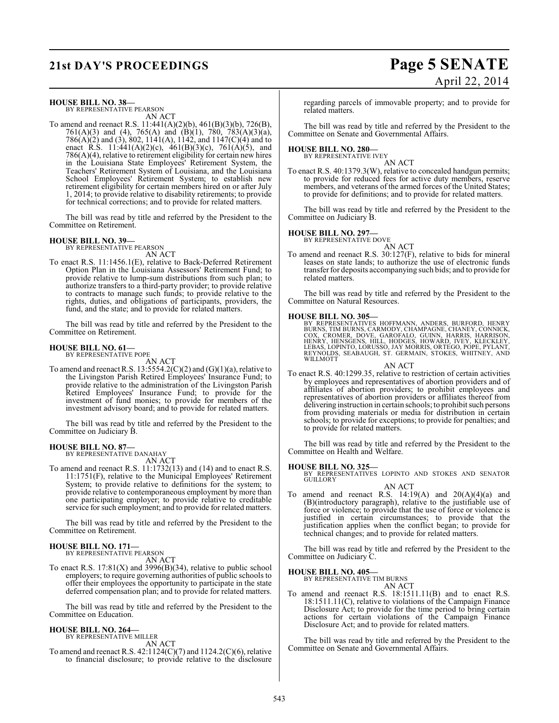# **21st DAY'S PROCEEDINGS Page 5 SENATE** April 22, 2014

**HOUSE BILL NO. 38—** BY REPRESENTATIVE PEARSON

AN ACT

To amend and reenact R.S. 11:441(A)(2)(b), 461(B)(3)(b), 726(B), 761(A)(3) and (4), 765(A) and (B)(1), 780, 783(A)(3)(a), 786(A)(2) and (3), 802, 1141(A), 1142, and 1147(C)(4) and to enact R.S. 11:441(A)(2)(c), 461(B)(3)(c), 761(A)(5), and 786(A)(4), relative to retirement eligibility for certain new hires in the Louisiana State Employees' Retirement System, the Teachers' Retirement System of Louisiana, and the Louisiana School Employees' Retirement System; to establish new retirement eligibility for certain members hired on or after July 1, 2014; to provide relative to disability retirements; to provide for technical corrections; and to provide for related matters.

The bill was read by title and referred by the President to the Committee on Retirement.

### **HOUSE BILL NO. 39—**

BY REPRESENTATIVE PEARSON AN ACT

To enact R.S. 11:1456.1(E), relative to Back-Deferred Retirement Option Plan in the Louisiana Assessors' Retirement Fund; to provide relative to lump-sum distributions from such plan; to authorize transfers to a third-party provider; to provide relative to contracts to manage such funds; to provide relative to the rights, duties, and obligations of participants, providers, the fund, and the state; and to provide for related matters.

The bill was read by title and referred by the President to the Committee on Retirement.

#### **HOUSE BILL NO. 61—** BY REPRESENTATIVE POPE

AN ACT

To amend and reenact R.S.  $13:5554.2(C)(2)$  and  $(G)(1)(a)$ , relative to the Livingston Parish Retired Employees' Insurance Fund; to provide relative to the administration of the Livingston Parish Retired Employees' Insurance Fund; to provide for the investment of fund monies; to provide for members of the investment advisory board; and to provide for related matters.

The bill was read by title and referred by the President to the Committee on Judiciary B.

### **HOUSE BILL NO. 87—**

BY REPRESENTATIVE DANAHAY AN ACT

To amend and reenact R.S. 11:1732(13) and (14) and to enact R.S. 11:1751(F), relative to the Municipal Employees' Retirement System; to provide relative to definitions for the system; to provide relative to contemporaneous employment by more than one participating employer; to provide relative to creditable service for such employment; and to provide for related matters.

The bill was read by title and referred by the President to the Committee on Retirement.

#### **HOUSE BILL NO. 171—** BY REPRESENTATIVE PEARSON

AN ACT

To enact R.S.  $17:81(X)$  and  $3996(B)(34)$ , relative to public school employers; to require governing authorities of public schools to offer their employees the opportunity to participate in the state deferred compensation plan; and to provide for related matters.

The bill was read by title and referred by the President to the Committee on Education.

# **HOUSE BILL NO. 264—** BY REPRESENTATIVE MILLER

AN ACT

To amend and reenact R.S. 42:1124(C)(7) and 1124.2(C)(6), relative to financial disclosure; to provide relative to the disclosure

regarding parcels of immovable property; and to provide for related matters.

The bill was read by title and referred by the President to the Committee on Senate and Governmental Affairs.

# **HOUSE BILL NO. 280—** BY REPRESENTATIVE IVEY

AN ACT To enact R.S. 40:1379.3(W), relative to concealed handgun permits; to provide for reduced fees for active duty members, reserve members, and veterans of the armed forces of the United States; to provide for definitions; and to provide for related matters.

The bill was read by title and referred by the President to the Committee on Judiciary B.

#### **HOUSE BILL NO. 297—**

BY REPRESENTATIVE DOVE

AN ACT To amend and reenact R.S. 30:127(F), relative to bids for mineral leases on state lands; to authorize the use of electronic funds transfer for deposits accompanying such bids; and to provide for related matters.

The bill was read by title and referred by the President to the Committee on Natural Resources.

**HOUSE BILL NO. 305—**<br>BY REPRESENTATIVES HOFFMANN, ANDERS, BURFORD, HENRY<br>BURNS, TIM BURNS, CARMODY, CHAMPAGNE, CHANEY, CONNICK,<br>COX, CROMER, DOVE, GAROFALO, GUINN, HARRIS, HARRISON,<br>HENRY, HENSGENS, HILL, HODGES, HOWARD,

AN ACT

To enact R.S. 40:1299.35, relative to restriction of certain activities by employees and representatives of abortion providers and of affiliates of abortion providers; to prohibit employees and representatives of abortion providers or affiliates thereof from delivering instruction in certain schools; to prohibit such persons from providing materials or media for distribution in certain schools; to provide for exceptions; to provide for penalties; and to provide for related matters.

The bill was read by title and referred by the President to the Committee on Health and Welfare.

### **HOUSE BILL NO. 325—**

BY REPRESENTATIVES LOPINTO AND STOKES AND SENATOR GUILLORY

AN ACT To amend and reenact R.S.  $14:19(A)$  and  $20(A)(4)(a)$  and (B)(introductory paragraph), relative to the justifiable use of force or violence; to provide that the use of force or violence is justified in certain circumstances; to provide that the justification applies when the conflict began; to provide for technical changes; and to provide for related matters.

The bill was read by title and referred by the President to the Committee on Judiciary C.

# **HOUSE BILL NO. 405—** BY REPRESENTATIVE TIM BURNS

AN ACT

To amend and reenact R.S. 18:1511.11(B) and to enact R.S. 18:1511.11(C), relative to violations of the Campaign Finance Disclosure Act; to provide for the time period to bring certain actions for certain violations of the Campaign Finance Disclosure Act; and to provide for related matters.

The bill was read by title and referred by the President to the Committee on Senate and Governmental Affairs.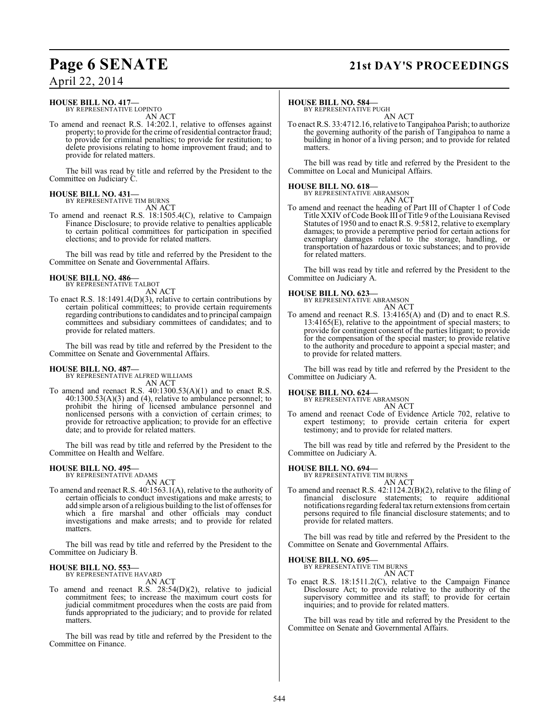# **Page 6 SENATE 21st DAY'S PROCEEDINGS**

#### **HOUSE BILL NO. 417—** BY REPRESENTATIVE LOPINTO

AN ACT

To amend and reenact R.S. 14:202.1, relative to offenses against property; to provide for the crime of residential contractor fraud; to provide for criminal penalties; to provide for restitution; to delete provisions relating to home improvement fraud; and to provide for related matters.

The bill was read by title and referred by the President to the Committee on Judiciary C.

#### **HOUSE BILL NO. 431—** BY REPRESENTATIVE TIM BURNS

AN ACT

To amend and reenact R.S. 18:1505.4(C), relative to Campaign Finance Disclosure; to provide relative to penalties applicable to certain political committees for participation in specified elections; and to provide for related matters.

The bill was read by title and referred by the President to the Committee on Senate and Governmental Affairs.

#### **HOUSE BILL NO. 486—** BY REPRESENTATIVE TALBOT

AN ACT

To enact R.S. 18:1491.4(D)(3), relative to certain contributions by certain political committees; to provide certain requirements regarding contributions to candidates and to principal campaign committees and subsidiary committees of candidates; and to provide for related matters.

The bill was read by title and referred by the President to the Committee on Senate and Governmental Affairs.

#### **HOUSE BILL NO. 487—**

BY REPRESENTATIVE ALFRED WILLIAMS AN ACT

To amend and reenact R.S. 40:1300.53(A)(1) and to enact R.S. 40:1300.53(A)(3) and (4), relative to ambulance personnel; to prohibit the hiring of licensed ambulance personnel and nonlicensed persons with a conviction of certain crimes; to provide for retroactive application; to provide for an effective date; and to provide for related matters.

The bill was read by title and referred by the President to the Committee on Health and Welfare.

# **HOUSE BILL NO. 495—** BY REPRESENTATIVE ADAMS

- AN ACT
- To amend and reenact R.S. 40:1563.1(A), relative to the authority of certain officials to conduct investigations and make arrests; to add simple arson of a religious building to the list of offenses for which a fire marshal and other officials may conduct investigations and make arrests; and to provide for related matters.

The bill was read by title and referred by the President to the Committee on Judiciary B.

# **HOUSE BILL NO. 553—** BY REPRESENTATIVE HAVARD

AN ACT

To amend and reenact R.S. 28:54(D)(2), relative to judicial commitment fees; to increase the maximum court costs for judicial commitment procedures when the costs are paid from funds appropriated to the judiciary; and to provide for related matters.

The bill was read by title and referred by the President to the Committee on Finance.

#### **HOUSE BILL NO. 584—**

BY REPRESENTATIVE PUGH AN ACT

To enact R.S. 33:4712.16, relative to Tangipahoa Parish; to authorize the governing authority of the parish of Tangipahoa to name a building in honor of a living person; and to provide for related matters.

The bill was read by title and referred by the President to the Committee on Local and Municipal Affairs.

**HOUSE BILL NO. 618—** BY REPRESENTATIVE ABRAMSON AN ACT

To amend and reenact the heading of Part III of Chapter 1 of Code Title XXIV of Code Book III of Title 9 of the Louisiana Revised Statutes of 1950 and to enact R.S. 9:5812, relative to exemplary damages; to provide a peremptive period for certain actions for exemplary damages related to the storage, handling, or transportation of hazardous or toxic substances; and to provide for related matters.

The bill was read by title and referred by the President to the Committee on Judiciary A.

#### **HOUSE BILL NO. 623—**



To amend and reenact R.S. 13:4165(A) and (D) and to enact R.S. 13:4165(E), relative to the appointment of special masters; to provide for contingent consent of the parties litigant; to provide for the compensation of the special master; to provide relative to the authority and procedure to appoint a special master; and to provide for related matters.

The bill was read by title and referred by the President to the Committee on Judiciary A.

#### **HOUSE BILL NO. 624—**

BY REPRESENTATIVE ABRAMSON AN ACT

To amend and reenact Code of Evidence Article 702, relative to expert testimony; to provide certain criteria for expert testimony; and to provide for related matters.

The bill was read by title and referred by the President to the Committee on Judiciary A.

**HOUSE BILL NO. 694—** BY REPRESENTATIVE TIM BURNS

- AN ACT To amend and reenact R.S. 42:1124.2(B)(2), relative to the filing of financial disclosure statements; to require additional
- notifications regarding federal tax return extensions from certain persons required to file financial disclosure statements; and to provide for related matters.

The bill was read by title and referred by the President to the Committee on Senate and Governmental Affairs.

#### **HOUSE BILL NO. 695—**

BY REPRESENTATIVE TIM BURNS AN ACT

To enact R.S. 18:1511.2(C), relative to the Campaign Finance Disclosure Act; to provide relative to the authority of the supervisory committee and its staff; to provide for certain inquiries; and to provide for related matters.

The bill was read by title and referred by the President to the Committee on Senate and Governmental Affairs.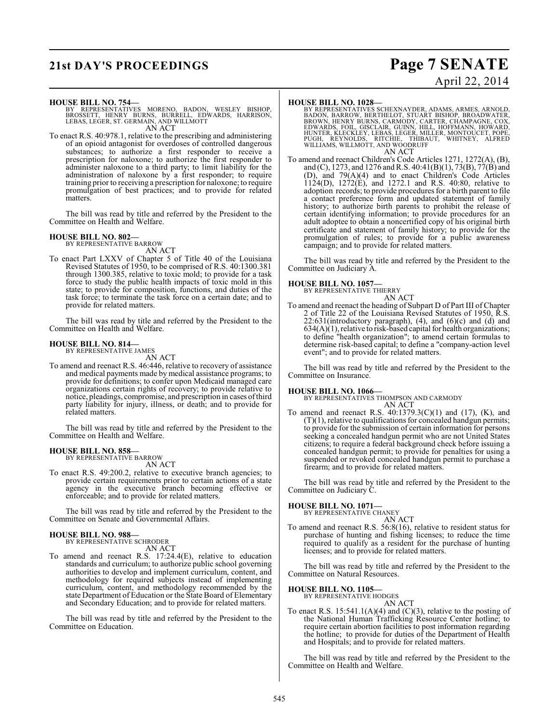# **21st DAY'S PROCEEDINGS Page 7 SENATE**

# April 22, 2014

#### **HOUSE BILL NO. 754—**

BY REPRESENTATIVES MORENO, BADON, WESLEY BISHOP,<br>BROSSETT, HENRY BURNS, BURRELL, EDWARDS, HARRISON,<br>LEBAS,LEGER,ST.GERMAIN,ANDWILLMOTT AN ACT

To enact R.S. 40:978.1, relative to the prescribing and administering of an opioid antagonist for overdoses of controlled dangerous substances; to authorize a first responder to receive a prescription for naloxone; to authorize the first responder to administer naloxone to a third party; to limit liability for the administration of naloxone by a first responder; to require training prior to receiving a prescription for naloxone; to require promulgation of best practices; and to provide for related matters.

The bill was read by title and referred by the President to the Committee on Health and Welfare.

### **HOUSE BILL NO. 802—** BY REPRESENTATIVE BARROW

AN ACT

To enact Part LXXV of Chapter 5 of Title 40 of the Louisiana Revised Statutes of 1950, to be comprised of R.S. 40:1300.381 through 1300.385, relative to toxic mold; to provide for a task force to study the public health impacts of toxic mold in this state; to provide for composition, functions, and duties of the task force; to terminate the task force on a certain date; and to provide for related matters.

The bill was read by title and referred by the President to the Committee on Health and Welfare.

#### **HOUSE BILL NO. 814—** BY REPRESENTATIVE JAMES

AN ACT

To amend and reenact R.S. 46:446, relative to recovery of assistance and medical payments made by medical assistance programs; to provide for definitions; to confer upon Medicaid managed care organizations certain rights of recovery; to provide relative to notice, pleadings, compromise, and prescription in cases of third party liability for injury, illness, or death; and to provide for related matters.

The bill was read by title and referred by the President to the Committee on Health and Welfare.

#### **HOUSE BILL NO. 858—** BY REPRESENTATIVE BARROW

AN ACT

To enact R.S. 49:200.2, relative to executive branch agencies; to provide certain requirements prior to certain actions of a state agency in the executive branch becoming effective or enforceable; and to provide for related matters.

The bill was read by title and referred by the President to the Committee on Senate and Governmental Affairs.

#### **HOUSE BILL NO. 988—** BY REPRESENTATIVE SCHRODER

AN ACT

To amend and reenact R.S. 17:24.4(E), relative to education standards and curriculum; to authorize public school governing authorities to develop and implement curriculum, content, and methodology for required subjects instead of implementing curriculum, content, and methodology recommended by the state Department of Education or the State Board of Elementary and Secondary Education; and to provide for related matters.

The bill was read by title and referred by the President to the Committee on Education.

**HOUSE BILL NO. 1028**<br>BY REPRESENTATIVES SCHEXNAYDER, ADAMS, ARMES, ARNOLD, BARROW, BERTHELOT, STUART BISHOP, BROADWATER,<br>BROWN, HENRY BURNS, CARMODY, CARTER, CHAMPAGNE, COX,<br>EDWARDS, FOIL, GISCLAIR, GUINN, HILL, HOFFMANN, AN ACT

To amend and reenact Children's Code Articles 1271, 1272(A), (B), and (C), 1273, and 1276 and R.S. 40:41(B)(1), 73(B), 77(B) and (D), and 79(A)(4) and to enact Children's Code Articles 1124(D), 1272(E), and 1272.1 and R.S. 40:80, relative to adoption records; to provide procedures for a birth parent to file a contact preference form and updated statement of family history; to authorize birth parents to prohibit the release of certain identifying information; to provide procedures for an adult adoptee to obtain a noncertified copy of his original birth certificate and statement of family history; to provide for the promulgation of rules; to provide for a public awareness campaign; and to provide for related matters.

The bill was read by title and referred by the President to the Committee on Judiciary A.

# **HOUSE BILL NO. 1057—** BY REPRESENTATIVE THIERRY

AN ACT To amend and reenact the heading of Subpart D of Part III of Chapter 2 of Title 22 of the Louisiana Revised Statutes of 1950, R.S.  $22:631$ (introductory paragraph),  $(4)$ , and  $(6)(c)$  and  $(d)$  and  $634(A)(1)$ , relative to risk-based capital for health organizations; to define "health organization"; to amend certain formulas to determine risk-based capital; to define a "company-action level event"; and to provide for related matters.

The bill was read by title and referred by the President to the Committee on Insurance.

**HOUSE BILL NO. 1066—** BY REPRESENTATIVES THOMPSON AND CARMODY AN ACT

To amend and reenact R.S. 40:1379.3(C)(1) and (17), (K), and (T)(1), relative to qualifications for concealed handgun permits; to provide for the submission of certain information for persons seeking a concealed handgun permit who are not United States citizens; to require a federal background check before issuing a concealed handgun permit; to provide for penalties for using a suspended or revoked concealed handgun permit to purchase a firearm; and to provide for related matters.

The bill was read by title and referred by the President to the Committee on Judiciary C.

#### **HOUSE BILL NO. 1071—**

BY REPRESENTATIVE CHANEY AN ACT

To amend and reenact R.S. 56:8(16), relative to resident status for purchase of hunting and fishing licenses; to reduce the time required to qualify as a resident for the purchase of hunting licenses; and to provide for related matters.

The bill was read by title and referred by the President to the Committee on Natural Resources.

#### **HOUSE BILL NO. 1105—**

BY REPRESENTATIVE HODGES

AN ACT To enact R.S.  $15:541.1(A)(4)$  and  $(C)(3)$ , relative to the posting of the National Human Trafficking Resource Center hotline; to require certain abortion facilities to post information regarding the hotline; to provide for duties of the Department of Health and Hospitals; and to provide for related matters.

The bill was read by title and referred by the President to the Committee on Health and Welfare.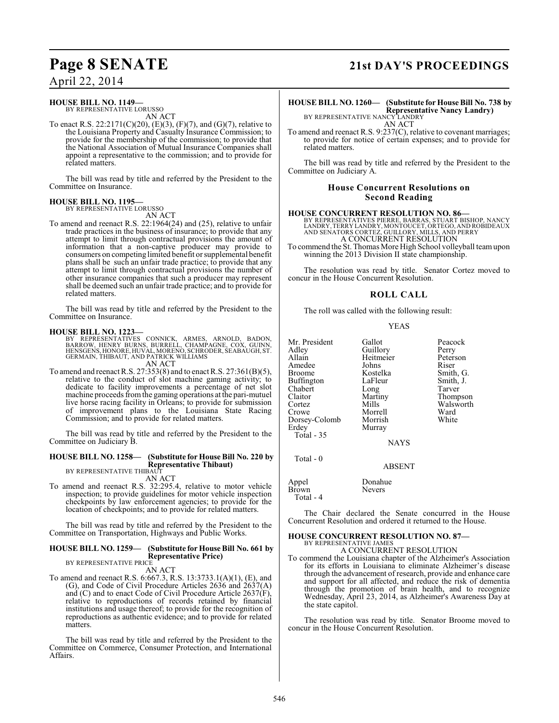#### **HOUSE BILL NO. 1149—**

BY REPRESENTATIVE LORUSSO AN ACT

To enact R.S. 22:2171(C)(20), (E)(3), (F)(7), and (G)(7), relative to the Louisiana Property and Casualty Insurance Commission; to provide for the membership of the commission; to provide that the National Association of Mutual Insurance Companies shall appoint a representative to the commission; and to provide for related matters.

The bill was read by title and referred by the President to the Committee on Insurance.

#### **HOUSE BILL NO. 1195—**

BY REPRESENTATIVE LORUSSO AN ACT

To amend and reenact R.S. 22:1964(24) and (25), relative to unfair trade practices in the business of insurance; to provide that any attempt to limit through contractual provisions the amount of information that a non-captive producer may provide to consumers on competing limited benefit or supplemental benefit plans shall be such an unfair trade practice; to provide that any attempt to limit through contractual provisions the number of other insurance companies that such a producer may represent shall be deemed such an unfair trade practice; and to provide for related matters.

The bill was read by title and referred by the President to the Committee on Insurance.

#### **HOUSE BILL NO. 1223—**

BY REPRESENTATIVES CONNICK, ARMES, ARNOLD, BADON,<br>BARROW, HENRY BURNS, BURRELL, CHAMPAGNE, COX, GUINN,<br>HENSGENS,HONORE,HUVAL,MORENO,SCHRODER,SEABAUGH,ST.<br>GERMAIN,THIBAUT,AND PATRICK WILLIAMS

AN ACT

To amend and reenact R.S. 27:353(8) and to enact R.S. 27:361(B)(5), relative to the conduct of slot machine gaming activity; to dedicate to facility improvements a percentage of net slot machine proceeds from the gaming operations at the pari-mutuel live horse racing facility in Orleans; to provide for submission of improvement plans to the Louisiana State Racing Commission; and to provide for related matters.

The bill was read by title and referred by the President to the Committee on Judiciary B.

#### **HOUSE BILL NO. 1258— (Substitute for House Bill No. 220 by Representative Thibaut)**

BY REPRESENTATIVE THIBAU AN ACT

To amend and reenact R.S. 32:295.4, relative to motor vehicle inspection; to provide guidelines for motor vehicle inspection checkpoints by law enforcement agencies; to provide for the location of checkpoints; and to provide for related matters.

The bill was read by title and referred by the President to the Committee on Transportation, Highways and Public Works.

#### **HOUSE BILL NO. 1259— (Substitute for House Bill No. 661 by Representative Price)**

BY REPRESENTATIVE PRICE AN ACT

To amend and reenact R.S. 6:667.3, R.S. 13:3733.1(A)(1), (E), and (G), and Code of Civil Procedure Articles 2636 and 2637(A) and (C) and to enact Code of Civil Procedure Article 2637(F), relative to reproductions of records retained by financial institutions and usage thereof; to provide for the recognition of reproductions as authentic evidence; and to provide for related matters.

The bill was read by title and referred by the President to the Committee on Commerce, Consumer Protection, and International Affairs.

# **Page 8 SENATE 21st DAY'S PROCEEDINGS**

**HOUSE BILL NO. 1260— (Substitute for House Bill No. 738 by Representative Nancy Landry)** BY REPRESENTATIVE NANCY LANDRY

AN ACT

To amend and reenact R.S. 9:237(C), relative to covenant marriages; to provide for notice of certain expenses; and to provide for related matters.

The bill was read by title and referred by the President to the Committee on Judiciary A.

#### **House Concurrent Resolutions on Second Reading**

#### **HOUSE CONCURRENT RESOLUTION NO. 86—**

BY REPRESENTATIVES PIERRE, BARRAS, STUART BISHOP, NANCY<br>LANDRY, TERRY LANDRY, MONTOUCET, ÒRTEGO, AND PROBIDEAUX<br>AND SENATRES CORTEZ, GUILLORY, MILLS, AND PERRY<br>A CONCURRENT RESOLUTION

To commend the St. Thomas More High School volleyball team upon winning the 2013 Division II state championship.

The resolution was read by title. Senator Cortez moved to concur in the House Concurrent Resolution.

#### **ROLL CALL**

The roll was called with the following result:

| <b>YEAS</b> |
|-------------|
|             |

| Mr. President<br>Adley<br>Allain<br>Amedee<br>Broome<br>Buffington<br>Chabert<br>Claitor<br>Cortez<br>Crowe<br>Dorsey-Colomb<br>Erdey<br>Total - 35 | Gallot<br>Guillory<br>Heitmeier<br>Johns<br>Kostelka<br>LaFleur<br>Long<br>Martiny<br>Mills<br>Morrell<br>Morrish<br>Murray | Peacock<br>Perry<br>Peterson<br>Riser<br>Smith, G.<br>Smith, J.<br>Tarver<br>Thompson<br>Walsworth<br>Ward<br>White |
|-----------------------------------------------------------------------------------------------------------------------------------------------------|-----------------------------------------------------------------------------------------------------------------------------|---------------------------------------------------------------------------------------------------------------------|
|                                                                                                                                                     |                                                                                                                             |                                                                                                                     |
|                                                                                                                                                     | <b>NAYS</b>                                                                                                                 |                                                                                                                     |

ABSENT

Appel Donahue<br>Brown Nevers Brown Total - 4

Total - 0

The Chair declared the Senate concurred in the House Concurrent Resolution and ordered it returned to the House.

### **HOUSE CONCURRENT RESOLUTION NO. 87—**

BY REPRESENTATIVE JAMES A CONCURRENT RESOLUTION

To commend the Louisiana chapter of the Alzheimer's Association for its efforts in Louisiana to eliminate Alzheimer's disease through the advancement of research, provide and enhance care and support for all affected, and reduce the risk of dementia through the promotion of brain health, and to recognize Wednesday, April 23, 2014, as Alzheimer's Awareness Day at the state capitol.

The resolution was read by title. Senator Broome moved to concur in the House Concurrent Resolution.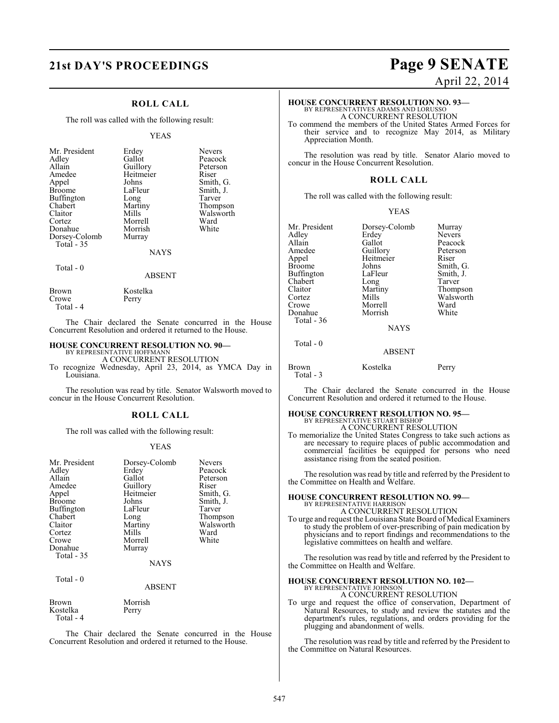### **21st DAY'S PROCEEDINGS Page 9 SENATE**

#### **ROLL CALL**

The roll was called with the following result:

#### YEAS

| Mr. President<br>Adley<br>Allain<br>Amedee<br>Appel<br><b>Broome</b><br><b>Buffington</b><br>Chabert<br>Claitor<br>Cortez<br>Donahue<br>Dorsey-Colomb<br>Total - 35 | Erdey<br>Gallot<br>Guillory<br>Heitmeier<br>Johns<br>LaFleur<br>Long<br>Martiny<br>Mills<br>Morrell<br>Morrish<br>Murray<br>NAYS | <b>Nevers</b><br>Peacock<br>Peterson<br>Riser<br>Smith, G.<br>Smith, J.<br>Tarver<br>Thompson<br>Walsworth<br>Ward<br>White |
|---------------------------------------------------------------------------------------------------------------------------------------------------------------------|----------------------------------------------------------------------------------------------------------------------------------|-----------------------------------------------------------------------------------------------------------------------------|
| Total - 0                                                                                                                                                           |                                                                                                                                  |                                                                                                                             |

#### ABSENT

| Brown     | Kostelka |
|-----------|----------|
| Crowe     | Perry    |
| Total - 4 |          |

The Chair declared the Senate concurred in the House Concurrent Resolution and ordered it returned to the House.

# **HOUSE CONCURRENT RESOLUTION NO. 90—**<br>BY REPRESENTATIVE HOFFMANN<br>A CONCURRENT RESOLUTION

To recognize Wednesday, April 23, 2014, as YMCA Day in Louisiana.

The resolution was read by title. Senator Walsworth moved to concur in the House Concurrent Resolution.

#### **ROLL CALL**

The roll was called with the following result:

#### YEAS

| Mr. President<br>Adley<br>Allain<br>Amedee<br>Appel<br><b>Broome</b><br>Buffington<br>Chabert<br>Claitor<br>Cortez<br>Crowe<br>Donahue<br>Total - 35 | Dorsey-Colomb<br>Erdey<br>Gallot<br>Guillory<br>Heitmeier<br>Johns<br>LaFleur<br>Long<br>Martiny<br>Mills<br>Morrell<br>Murray<br><b>NAYS</b> | <b>Nevers</b><br>Peacock<br>Peterson<br>Riser<br>Smith, G.<br>Smith, J.<br>Tarver<br>Thompson<br>Walsworth<br>Ward<br>White |
|------------------------------------------------------------------------------------------------------------------------------------------------------|-----------------------------------------------------------------------------------------------------------------------------------------------|-----------------------------------------------------------------------------------------------------------------------------|
|                                                                                                                                                      |                                                                                                                                               |                                                                                                                             |
| $Total - 0$                                                                                                                                          | ABSENT                                                                                                                                        |                                                                                                                             |

Brown Morrish<br>Kostelka Perry Kostelka Total - 4

The Chair declared the Senate concurred in the House Concurrent Resolution and ordered it returned to the House.

# April 22, 2014

### **HOUSE CONCURRENT RESOLUTION NO. 93—**

BY REPRESENTATIVES ADAMS AND LORUSSO A CONCURRENT RESOLUTION

To commend the members of the United States Armed Forces for their service and to recognize May 2014, as Military Appreciation Month.

The resolution was read by title. Senator Alario moved to concur in the House Concurrent Resolution.

#### **ROLL CALL**

The roll was called with the following result:

#### YEAS

Mr. President Dorsey-Colomb Murray<br>Adley Erdey Nevers Adley Erdey<br>Allain Gallot Allain Gallot Peacock<br>Amedee Guillory Peterson Amedee Guillory Peterson<br>
Appel Heitmeier Riser Appel Heitmeier<br>Broome Johns Buffington LaFleur Smith,<br>
Chabert Long Tarver Chabert Long<br>Claitor Martiny Claitor Martiny Thompson<br>Cortez Mills Walsworth Cortez Mills Walsworth<br>Crowe Morrell Ward Donahue Total - 36

Total - 0

Johns Smith, G.<br>LaFleur Smith, J. Morrell Ward<br>
Morrish White

**NAYS** 

#### ABSENT

| Brown     | Kostelka | Perry |
|-----------|----------|-------|
| Total - 3 |          |       |

The Chair declared the Senate concurred in the House Concurrent Resolution and ordered it returned to the House.

#### **HOUSE CONCURRENT RESOLUTION NO. 95—** BY REPRESENTATIVE STUART BISHOP

A CONCURRENT RESOLUTION

To memorialize the United States Congress to take such actions as are necessary to require places of public accommodation and commercial facilities be equipped for persons who need assistance rising from the seated position.

The resolution was read by title and referred by the President to the Committee on Health and Welfare.

### **HOUSE CONCURRENT RESOLUTION NO. 99—** BY REPRESENTATIVE HARRISON

A CONCURRENT RESOLUTION To urge and request the Louisiana State Board of Medical Examiners

to study the problem of over-prescribing of pain medication by physicians and to report findings and recommendations to the legislative committees on health and welfare.

The resolution was read by title and referred by the President to the Committee on Health and Welfare.

### **HOUSE CONCURRENT RESOLUTION NO. 102—** BY REPRESENTATIVE JOHNSON

A CONCURRENT RESOLUTION

To urge and request the office of conservation, Department of Natural Resources, to study and review the statutes and the department's rules, regulations, and orders providing for the plugging and abandonment of wells.

The resolution was read by title and referred by the President to the Committee on Natural Resources.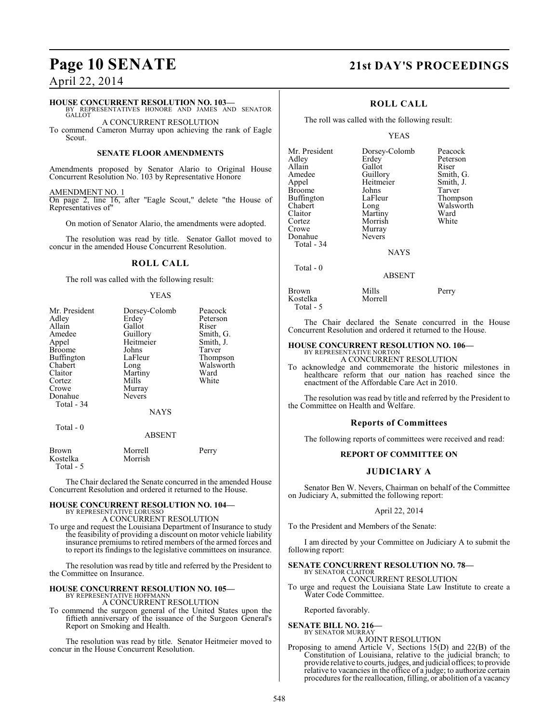#### **HOUSE CONCURRENT RESOLUTION NO. 103—**

BY REPRESENTATIVES HONORE AND JAMES AND SENATOR **GALLOT** A CONCURRENT RESOLUTION

To commend Cameron Murray upon achieving the rank of Eagle Scout.

#### **SENATE FLOOR AMENDMENTS**

Amendments proposed by Senator Alario to Original House Concurrent Resolution No. 103 by Representative Honore

AMENDMENT NO. 1 On page 2, line 16, after "Eagle Scout," delete "the House of Representatives of"

On motion of Senator Alario, the amendments were adopted.

The resolution was read by title. Senator Gallot moved to concur in the amended House Concurrent Resolution.

#### **ROLL CALL**

The roll was called with the following result:

#### YEAS

| Mr. President | Dorsey-Colomb | Peacock   |
|---------------|---------------|-----------|
| Adley         | Erdey         | Peterson  |
| Allain        | Gallot        | Riser     |
| Amedee        | Guillory      | Smith, G. |
| Appel         | Heitmeier     | Smith, J. |
| <b>Broome</b> | Johns         | Tarver    |
| Buffington    | LaFleur       | Thompson  |
| Chabert       | Long          | Walsworth |
| Claitor       | Martiny       | Ward      |
| Cortez        | Mills         | White     |
| Crowe         | Murray        |           |
| Donahue       | <b>Nevers</b> |           |
| Total - 34    |               |           |
|               | <b>NAYS</b>   |           |
| Total $-0$    |               |           |
|               | <b>ABSENT</b> |           |
| Brown         | Morrell       | Perry     |
| Kostelka      | Morrish       |           |

Total - 5

The Chair declared the Senate concurred in the amended House Concurrent Resolution and ordered it returned to the House.

#### **HOUSE CONCURRENT RESOLUTION NO. 104—** BY REPRESENTATIVE LORUSSO

A CONCURRENT RESOLUTION

To urge and request the Louisiana Department of Insurance to study the feasibility of providing a discount on motor vehicle liability insurance premiums to retired members of the armed forces and to report its findings to the legislative committees on insurance.

The resolution was read by title and referred by the President to the Committee on Insurance.

# **HOUSE CONCURRENT RESOLUTION NO. 105—** BY REPRESENTATIVE HOFFMANN

A CONCURRENT RESOLUTION

To commend the surgeon general of the United States upon the fiftieth anniversary of the issuance of the Surgeon General's Report on Smoking and Health.

The resolution was read by title. Senator Heitmeier moved to concur in the House Concurrent Resolution.

### **Page 10 SENATE 21st DAY'S PROCEEDINGS**

#### **ROLL CALL**

The roll was called with the following result:

#### YEAS

| Mr. President<br>Adley<br>Allain<br>Amedee<br>Appel<br><b>Broome</b><br>Buffington<br>Chabert<br>Claitor<br>Cortez<br>Crowe<br>Donahue | Dorsey-Colomb<br>Erdey<br>Gallot<br>Guillory<br>Heitmeier<br>Johns<br>LaFleur<br>Long<br>Martiny<br>Morrish<br>Murray<br><b>Nevers</b> | Peacock<br>Peterson<br>Riser<br>Smith, G.<br>Smith, J.<br>Tarver<br>Thompson<br>Walsworth<br>Ward<br>White |
|----------------------------------------------------------------------------------------------------------------------------------------|----------------------------------------------------------------------------------------------------------------------------------------|------------------------------------------------------------------------------------------------------------|
| Total - 34                                                                                                                             |                                                                                                                                        |                                                                                                            |
|                                                                                                                                        | <b>NAYS</b>                                                                                                                            |                                                                                                            |
| Total - 0                                                                                                                              |                                                                                                                                        |                                                                                                            |

#### ABSENT

| Brown     | Mills   | Perry |
|-----------|---------|-------|
| Kostelka  | Morrell |       |
| Total - 5 |         |       |

The Chair declared the Senate concurred in the House Concurrent Resolution and ordered it returned to the House.

# **HOUSE CONCURRENT RESOLUTION NO. 106—** BY REPRESENTATIVE NORTON

A CONCURRENT RESOLUTION

To acknowledge and commemorate the historic milestones in healthcare reform that our nation has reached since the enactment of the Affordable Care Act in 2010.

The resolution was read by title and referred by the President to the Committee on Health and Welfare.

#### **Reports of Committees**

The following reports of committees were received and read:

#### **REPORT OF COMMITTEE ON**

#### **JUDICIARY A**

Senator Ben W. Nevers, Chairman on behalf of the Committee on Judiciary A, submitted the following report:

#### April 22, 2014

To the President and Members of the Senate:

I am directed by your Committee on Judiciary A to submit the following report:

#### **SENATE CONCURRENT RESOLUTION NO. 78—**

BY SENATOR CLAITOR A CONCURRENT RESOLUTION

To urge and request the Louisiana State Law Institute to create a Water Code Committee.

Reported favorably.

#### **SENATE BILL NO. 216—**

BY SENATOR MURRAY A JOINT RESOLUTION

Proposing to amend Article V, Sections 15(D) and 22(B) of the Constitution of Louisiana, relative to the judicial branch; to provide relative to courts, judges, and judicial offices; to provide relative to vacancies in the office of a judge; to authorize certain procedures for the reallocation, filling, or abolition of a vacancy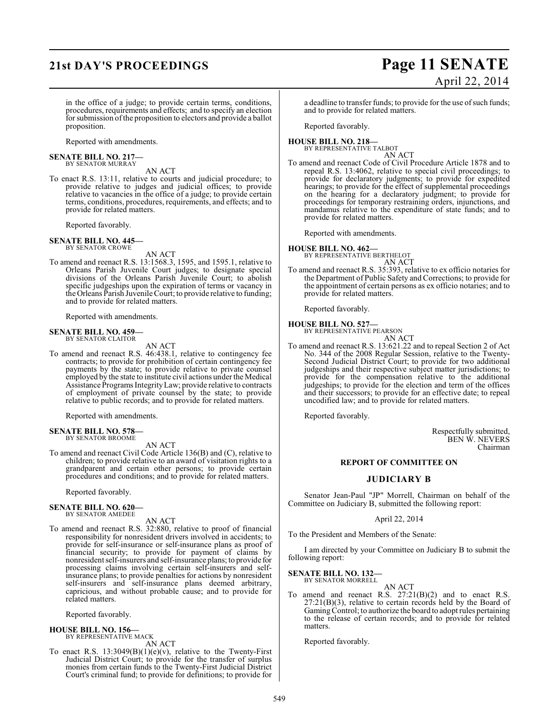## **21st DAY'S PROCEEDINGS Page 11 SENATE**

# April 22, 2014

in the office of a judge; to provide certain terms, conditions, procedures, requirements and effects; and to specify an election for submission of the proposition to electors and provide a ballot proposition.

Reported with amendments.

#### **SENATE BILL NO. 217—** BY SENATOR MURRAY

AN ACT

To enact R.S. 13:11, relative to courts and judicial procedure; to provide relative to judges and judicial offices; to provide relative to vacancies in the office of a judge; to provide certain terms, conditions, procedures, requirements, and effects; and to provide for related matters.

Reported favorably.

#### **SENATE BILL NO. 445—** BY SENATOR CROWE

AN ACT

To amend and reenact R.S. 13:1568.3, 1595, and 1595.1, relative to Orleans Parish Juvenile Court judges; to designate special divisions of the Orleans Parish Juvenile Court; to abolish specific judgeships upon the expiration of terms or vacancy in the Orleans Parish Juvenile Court; to provide relative to funding; and to provide for related matters.

Reported with amendments.

#### **SENATE BILL NO. 459—** BY SENATOR CLAITOR

AN ACT

To amend and reenact R.S. 46:438.1, relative to contingency fee contracts; to provide for prohibition of certain contingency fee payments by the state; to provide relative to private counsel employed by the state to institute civil actions under the Medical Assistance Programs IntegrityLaw; provide relative to contracts of employment of private counsel by the state; to provide relative to public records; and to provide for related matters.

Reported with amendments.

#### **SENATE BILL NO. 578—** BY SENATOR BROOME

AN ACT

To amend and reenact Civil Code Article 136(B) and (C), relative to children; to provide relative to an award of visitation rights to a grandparent and certain other persons; to provide certain procedures and conditions; and to provide for related matters.

Reported favorably.

#### **SENATE BILL NO. 620—** BY SENATOR AMEDEE

AN ACT

To amend and reenact R.S. 32:880, relative to proof of financial responsibility for nonresident drivers involved in accidents; to provide for self-insurance or self-insurance plans as proof of financial security; to provide for payment of claims by nonresident self-insurers and self-insurance plans; to provide for processing claims involving certain self-insurers and selfinsurance plans; to provide penalties for actions by nonresident self-insurers and self-insurance plans deemed arbitrary, capricious, and without probable cause; and to provide for related matters.

Reported favorably.

**HOUSE BILL NO. 156—** BY REPRESENTATIVE MACK

AN ACT

To enact R.S. 13:3049(B)(1)(e)(v), relative to the Twenty-First Judicial District Court; to provide for the transfer of surplus monies from certain funds to the Twenty-First Judicial District Court's criminal fund; to provide for definitions; to provide for

a deadline to transfer funds; to provide for the use of such funds; and to provide for related matters.

Reported favorably.

#### **HOUSE BILL NO. 218—** BY REPRESENTATIVE TALBOT

AN ACT To amend and reenact Code of Civil Procedure Article 1878 and to repeal R.S. 13:4062, relative to special civil proceedings; to provide for declaratory judgments; to provide for expedited hearings; to provide for the effect of supplemental proceedings on the hearing for a declaratory judgment; to provide for proceedings for temporary restraining orders, injunctions, and mandamus relative to the expenditure of state funds; and to provide for related matters.

Reported with amendments.

#### **HOUSE BILL NO. 462—**

BY REPRESENTATIVE BERTHELOT AN ACT

To amend and reenact R.S. 35:393, relative to ex officio notaries for the Department of Public Safety and Corrections; to provide for the appointment of certain persons as ex officio notaries; and to provide for related matters.

Reported favorably.

#### **HOUSE BILL NO. 527—** BY REPRESENTATIVE PEARSON



AN ACT To amend and reenact R.S. 13:621.22 and to repeal Section 2 of Act No. 344 of the 2008 Regular Session, relative to the Twenty-Second Judicial District Court; to provide for two additional judgeships and their respective subject matter jurisdictions; to provide for the compensation relative to the additional judgeships; to provide for the election and term of the offices and their successors; to provide for an effective date; to repeal uncodified law; and to provide for related matters.

Reported favorably.

Respectfully submitted, BEN W. NEVERS Chairman

### **REPORT OF COMMITTEE ON**

#### **JUDICIARY B**

Senator Jean-Paul "JP" Morrell, Chairman on behalf of the Committee on Judiciary B, submitted the following report:

#### April 22, 2014

To the President and Members of the Senate:

I am directed by your Committee on Judiciary B to submit the following report:

**SENATE BILL NO. 132—**

BY SENATOR MORRELL AN ACT

To amend and reenact R.S. 27:21(B)(2) and to enact R.S. 27:21(B)(3), relative to certain records held by the Board of Gaming Control; to authorize the board to adopt rules pertaining to the release of certain records; and to provide for related matters.

Reported favorably.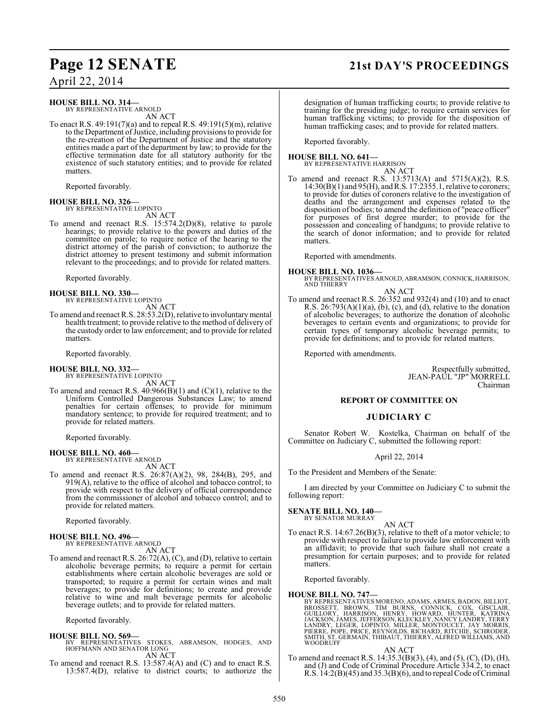### **Page 12 SENATE 21st DAY'S PROCEEDINGS**

April 22, 2014

**HOUSE BILL NO. 314—**

BY REPRESENTATIVE ARNOLD AN ACT

To enact R.S. 49:191(7)(a) and to repeal R.S. 49:191(5)(m), relative to the Department of Justice, including provisions to provide for the re-creation of the Department of Justice and the statutory entities made a part of the department by law; to provide for the effective termination date for all statutory authority for the existence of such statutory entities; and to provide for related matters.

Reported favorably.

**HOUSE BILL NO. 326—** BY REPRESENTATIVE LOPINTO

AN ACT

To amend and reenact R.S. 15:574.2(D)(8), relative to parole hearings; to provide relative to the powers and duties of the committee on parole; to require notice of the hearing to the district attorney of the parish of conviction; to authorize the district attorney to present testimony and submit information relevant to the proceedings; and to provide for related matters.

Reported favorably.

**HOUSE BILL NO. 330—** BY REPRESENTATIVE LOPINTO AN ACT

To amend and reenact R.S. 28:53.2(D), relative to involuntary mental health treatment; to provide relative to the method of delivery of the custody order to law enforcement; and to provide for related matters.

Reported favorably.

#### **HOUSE BILL NO. 332—**

BY REPRESENTATIVE LOPINTO AN ACT

To amend and reenact R.S. 40:966(B)(1) and (C)(1), relative to the Uniform Controlled Dangerous Substances Law; to amend penalties for certain offenses; to provide for minimum mandatory sentence; to provide for required treatment; and to provide for related matters.

Reported favorably.

**HOUSE BILL NO. 460—** BY REPRESENTATIVE ARNOLD

AN ACT

To amend and reenact R.S. 26:87(A)(2), 98, 284(B), 295, and 919(A), relative to the office of alcohol and tobacco control; to provide with respect to the delivery of official correspondence from the commissioner of alcohol and tobacco control; and to provide for related matters.

Reported favorably.

**HOUSE BILL NO. 496—** BY REPRESENTATIVE ARNOLD

AN ACT

To amend and reenact R.S. 26:72(A), (C), and (D), relative to certain alcoholic beverage permits; to require a permit for certain establishments where certain alcoholic beverages are sold or transported; to require a permit for certain wines and malt beverages; to provide for definitions; to create and provide relative to wine and malt beverage permits for alcoholic beverage outlets; and to provide for related matters.

Reported favorably.

#### **HOUSE BILL NO. 569—**

- BY REPRESENTATIVES STOKES, ABRAMSON, HODGES, AND HOFFMANN AND SENATOR LONG AN ACT
- To amend and reenact R.S. 13:587.4(A) and (C) and to enact R.S. 13:587.4(D), relative to district courts; to authorize the

designation of human trafficking courts; to provide relative to training for the presiding judge; to require certain services for human trafficking victims; to provide for the disposition of human trafficking cases; and to provide for related matters.

Reported favorably.

#### **HOUSE BILL NO. 641—**

BY REPRESENTATIVE HARRISON AN ACT

To amend and reenact R.S. 13:5713(A) and 5715(A)(2), R.S. 14:30(B)(1) and 95(H), and R.S. 17:2355.1, relative to coroners; to provide for duties of coroners relative to the investigation of deaths and the arrangement and expenses related to the disposition of bodies; to amend the definition of "peace officer" for purposes of first degree murder; to provide for the possession and concealing of handguns; to provide relative to the search of donor information; and to provide for related matters.

Reported with amendments.

#### **HOUSE BILL NO. 1036—**

BY REPRESENTATIVES ARNOLD, ABRAMSON, CONNICK, HARRISON, **AND THIERRY** 

AN ACT To amend and reenact R.S. 26:352 and 932(4) and (10) and to enact R.S.  $26:793(A)(1)(a)$ , (b), (c), and (d), relative to the donation of alcoholic beverages; to authorize the donation of alcoholic beverages to certain events and organizations; to provide for certain types of temporary alcoholic beverage permits; to provide for definitions; and to provide for related matters.

Reported with amendments.

Respectfully submitted, JEAN-PAUL "JP" MORRELL Chairman

#### **REPORT OF COMMITTEE ON**

#### **JUDICIARY C**

Senator Robert W. Kostelka, Chairman on behalf of the Committee on Judiciary C, submitted the following report:

#### April 22, 2014

To the President and Members of the Senate:

I am directed by your Committee on Judiciary C to submit the following report:

#### **SENATE BILL NO. 140—** BY SENATOR MURRAY

AN ACT

To enact R.S. 14:67.26(B)(3), relative to theft of a motor vehicle; to provide with respect to failure to provide law enforcement with an affidavit; to provide that such failure shall not create a presumption for certain purposes; and to provide for related matters.

Reported favorably.

#### **HOUSE BILL NO. 747—**

BY REPRESENTATIVES MORENO, ADAMS, ARMES, BADON, BILLIOT, BROUSSETT, BROWN, TIM BURNS, CONNICK, COX, GISCLAIR,<br>GUILLORY, HARRISÒN, HENRY, HOWARD, HUNTER, KATRINA<br>JACKSON, JAMES, JEFFERSON, KLECKLEY, NANCY LANDRY, TERRY<br>LAND

#### AN ACT

To amend and reenact R.S. 14:35.3(B)(3), (4), and (5), (C), (D), (H), and (J) and Code of Criminal Procedure Article 334.2, to enact R.S. 14:2(B)(45) and 35.3(B)(6), and to repeal Code of Criminal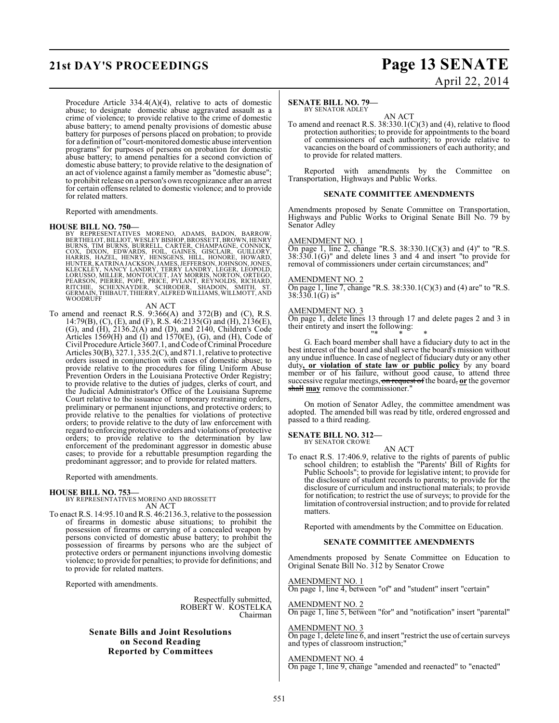# **21st DAY'S PROCEEDINGS Page 13 SENATE**

Procedure Article 334.4(A)(4), relative to acts of domestic abuse; to designate domestic abuse aggravated assault as a crime of violence; to provide relative to the crime of domestic abuse battery; to amend penalty provisions of domestic abuse battery for purposes of persons placed on probation; to provide for a definition of "court-monitored domestic abuse intervention programs" for purposes of persons on probation for domestic abuse battery; to amend penalties for a second conviction of domestic abuse battery; to provide relative to the designation of an act of violence against a family member as "domestic abuse"; to prohibit release on a person's own recognizance after an arrest for certain offenses related to domestic violence; and to provide for related matters.

Reported with amendments.

HOUSE BILL NO. 750—<br>BY REPRESENTATIVES MORENO, ADAMS, BADON, BARROW, BERTHELOT, BILLIOT, WESLEY BISHOP, BROSSETT, BROWN, HENRY<br>BURNS, TIM BURNS, BURRELL, CARTÉR, CHAMPAGNE, CÓNNICK,<br>COX, DIXON, EDWARDS, FOIL, GAINES, GISCL

#### AN ACT

To amend and reenact R.S. 9:366(A) and 372(B) and (C), R.S. 14:79(B), (C), (E), and (F), R.S. 46:2135(G) and (H), 2136(E), (G), and (H), 2136.2(A) and (D), and 2140, Children's Code Articles 1569 $(H)$  and  $(I)$  and 1570 $(E)$ ,  $(G)$ , and  $(H)$ , Code of Civil Procedure Article 3607.1, and Code of Criminal Procedure Articles 30(B), 327.1, 335.2(C), and 871.1, relative to protective orders issued in conjunction with cases of domestic abuse; to provide relative to the procedures for filing Uniform Abuse Prevention Orders in the Louisiana Protective Order Registry; to provide relative to the duties of judges, clerks of court, and the Judicial Administrator's Office of the Louisiana Supreme Court relative to the issuance of temporary restraining orders, preliminary or permanent injunctions, and protective orders; to provide relative to the penalties for violations of protective orders; to provide relative to the duty of law enforcement with regard to enforcing protective orders and violations of protective orders; to provide relative to the determination by law enforcement of the predominant aggressor in domestic abuse cases; to provide for a rebuttable presumption regarding the predominant aggressor; and to provide for related matters.

Reported with amendments.

### **HOUSE BILL NO. 753—** BY REPRESENTATIVES MORENO AND BROSSETT AN ACT

To enact R.S. 14:95.10 and R.S. 46:2136.3, relative to the possession of firearms in domestic abuse situations; to prohibit the possession of firearms or carrying of a concealed weapon by persons convicted of domestic abuse battery; to prohibit the possession of firearms by persons who are the subject of protective orders or permanent injunctions involving domestic violence; to provide for penalties; to provide for definitions; and to provide for related matters.

Reported with amendments.

Respectfully submitted, ROBERT W. KOSTELKA Chairman

**Senate Bills and Joint Resolutions on Second Reading Reported by Committees**

# April 22, 2014

#### **SENATE BILL NO. 79—** BY SENATOR ADLEY

AN ACT

To amend and reenact R.S. 38:330.1(C)(3) and (4), relative to flood protection authorities; to provide for appointments to the board of commissioners of each authority; to provide relative to vacancies on the board of commissioners of each authority; and to provide for related matters.

Reported with amendments by the Committee on Transportation, Highways and Public Works.

#### **SENATE COMMITTEE AMENDMENTS**

Amendments proposed by Senate Committee on Transportation, Highways and Public Works to Original Senate Bill No. 79 by Senator Adley

#### AMENDMENT NO. 1

On page 1, line 2, change "R.S.  $38:330.1(C)(3)$  and  $(4)$ " to "R.S. 38:330.1(G)" and delete lines 3 and 4 and insert "to provide for removal of commissioners under certain circumstances; and"

#### AMENDMENT NO. 2

On page 1, line 7, change "R.S.  $38:330.1(C)(3)$  and (4) are "to "R.S. 38:330.1(G) is"

#### AMENDMENT NO. 3

On page 1, delete lines 13 through 17 and delete pages 2 and 3 in their entirety and insert the following:

"\* \* \* G. Each board member shall have a fiduciary duty to act in the best interest of the board and shall serve the board's mission without any undue influence. In case of neglect of fiduciary duty or any other duty**, or violation of state law or public policy** by any board member or of his failure, without good cause, to attend three successive regular meetings, on request of the board, **or** the governor shall **may** remove the commissioner."

On motion of Senator Adley, the committee amendment was adopted. The amended bill was read by title, ordered engrossed and passed to a third reading.

#### **SENATE BILL NO. 312—**

BY SENATOR CROWE AN ACT

To enact R.S. 17:406.9, relative to the rights of parents of public school children; to establish the "Parents' Bill of Rights for Public Schools"; to provide for legislative intent; to provide for the disclosure of student records to parents; to provide for the disclosure of curriculum and instructional materials; to provide for notification; to restrict the use of surveys; to provide for the limitation of controversial instruction; and to provide for related matters.

Reported with amendments by the Committee on Education.

#### **SENATE COMMITTEE AMENDMENTS**

Amendments proposed by Senate Committee on Education to Original Senate Bill No. 312 by Senator Crowe

AMENDMENT NO. 1 On page 1, line 4, between "of" and "student" insert "certain"

AMENDMENT NO. 2 On page 1, line 5, between "for" and "notification" insert "parental"

AMENDMENT NO. 3 On page 1, delete line 6, and insert "restrict the use of certain surveys and types of classroom instruction;"

AMENDMENT NO. 4 On page 1, line 9, change "amended and reenacted" to "enacted"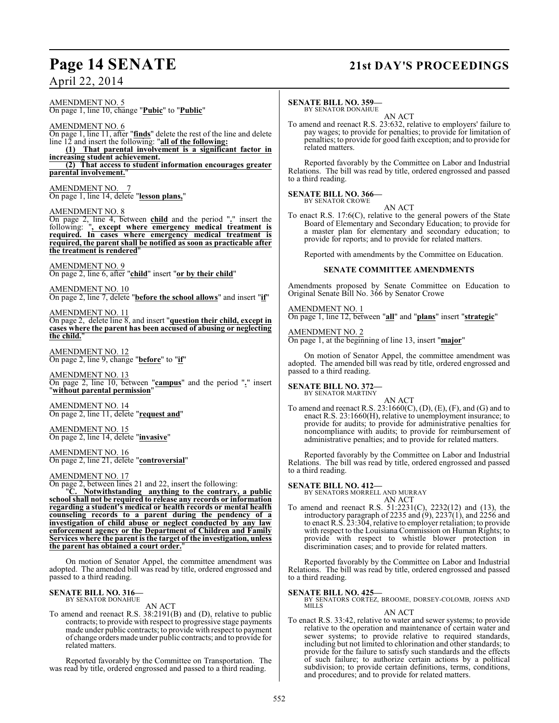### **Page 14 SENATE 21st DAY'S PROCEEDINGS**

April 22, 2014

#### AMENDMENT NO. 5 On page 1, line 10, change "**Pubic**" to "**Public**"

AMENDMENT NO. 6

On page 1, line 11, after "**finds**" delete the rest of the line and delete line 12 and insert the following: "**all of the following: (1) That parental involvement is a significant factor in**

**increasing student achievement.**

**(2) That access to student information encourages greater parental involvement.**"

AMENDMENT NO. 7 On page 1, line 14, delete "**lesson plans,**"

#### AMENDMENT NO. 8

On page 2, line 4, between **child** and the period "**.**" insert the following: "**, except where emergency medical treatment is required. In cases where emergency medical treatment is required, the parent shall be notified as soon as practicable after the treatment is rendered**"

#### AMENDMENT NO. 9 On page 2, line 6, after "**child**" insert "**or by their child**"

AMENDMENT NO. 10 On page 2, line 7, delete "**before the school allows**" and insert "**if**"

AMENDMENT NO. 11 On page 2, delete line 8, and insert "**question their child, except in cases where the parent has been accused of abusing or neglecting the child.**"

AMENDMENT NO. 12 On page 2, line 9, change "**before**" to "**if**"

AMENDMENT NO. 13 On page 2, line 10, between "**campus**" and the period "**.**" insert "**without parental permission**"

AMENDMENT NO. 14 On page 2, line 11, delete "**request and**"

AMENDMENT NO. 15 On page 2, line 14, delete "**invasive**"

AMENDMENT NO. 16 On page 2, line 21, delete "**controversial**"

### AMENDMENT NO. 17

On page 2, between lines 21 and 22, insert the following:

"**C. Notwithstanding anything to the contrary, a public school shall not be required to release any records or information regarding a student's medical or health records or mental health counseling records to a parent during the pendency of a investigation of child abuse or neglect conducted by any law enforcement agency or the Department of Children and Family Services where the parent is the target of the investigation, unless the parent has obtained a court order.**"

On motion of Senator Appel, the committee amendment was adopted. The amended bill was read by title, ordered engrossed and passed to a third reading.

### **SENATE BILL NO. 316—** BY SENATOR DONAHUE

AN ACT

To amend and reenact R.S. 38:2191(B) and (D), relative to public contracts; to provide with respect to progressive stage payments made under public contracts; to provide with respect to payment of change orders made under public contracts; and to provide for related matters.

Reported favorably by the Committee on Transportation. The was read by title, ordered engrossed and passed to a third reading.

#### **SENATE BILL NO. 359—**

BY SENATOR DONAHUE AN ACT

To amend and reenact R.S. 23:632, relative to employers' failure to pay wages; to provide for penalties; to provide for limitation of penalties; to provide for good faith exception; and to provide for related matters.

Reported favorably by the Committee on Labor and Industrial Relations. The bill was read by title, ordered engrossed and passed to a third reading.

#### **SENATE BILL NO. 366—** BY SENATOR CROWE

AN ACT

To enact R.S. 17:6(C), relative to the general powers of the State Board of Elementary and Secondary Education; to provide for a master plan for elementary and secondary education; to provide for reports; and to provide for related matters.

Reported with amendments by the Committee on Education.

#### **SENATE COMMITTEE AMENDMENTS**

Amendments proposed by Senate Committee on Education to Original Senate Bill No. 366 by Senator Crowe

#### AMENDMENT NO. 1

On page 1, line 12, between "**all**" and "**plans**" insert "**strategic**"

### AMENDMENT NO. 2

On page 1, at the beginning of line 13, insert "**major**"

On motion of Senator Appel, the committee amendment was adopted. The amended bill was read by title, ordered engrossed and passed to a third reading.

### **SENATE BILL NO. 372—** BY SENATOR MARTINY

AN ACT

To amend and reenact R.S.  $23:1660(C)$ , (D), (E), (F), and (G) and to enact R.S. 23:1660(H), relative to unemployment insurance; to provide for audits; to provide for administrative penalties for noncompliance with audits; to provide for reimbursement of administrative penalties; and to provide for related matters.

Reported favorably by the Committee on Labor and Industrial Relations. The bill was read by title, ordered engrossed and passed to a third reading.

#### **SENATE BILL NO. 412—**

BY SENATORS MORRELL AND MURRAY

AN ACT To amend and reenact R.S. 51:2231(C), 2232(12) and (13), the introductory paragraph of 2235 and (9), 2237(1), and 2256 and to enact R.S. 23:304, relative to employer retaliation; to provide with respect to the Louisiana Commission on Human Rights; to provide with respect to whistle blower protection in discrimination cases; and to provide for related matters.

Reported favorably by the Committee on Labor and Industrial Relations. The bill was read by title, ordered engrossed and passed to a third reading.

#### **SENATE BILL NO. 425—**

BY SENATORS CORTEZ, BROOME, DORSEY-COLOMB, JOHNS AND **MILLS** 

### AN ACT

To enact R.S. 33:42, relative to water and sewer systems; to provide relative to the operation and maintenance of certain water and sewer systems; to provide relative to required standards, including but not limited to chlorination and other standards; to provide for the failure to satisfy such standards and the effects of such failure; to authorize certain actions by a political subdivision; to provide certain definitions, terms, conditions, and procedures; and to provide for related matters.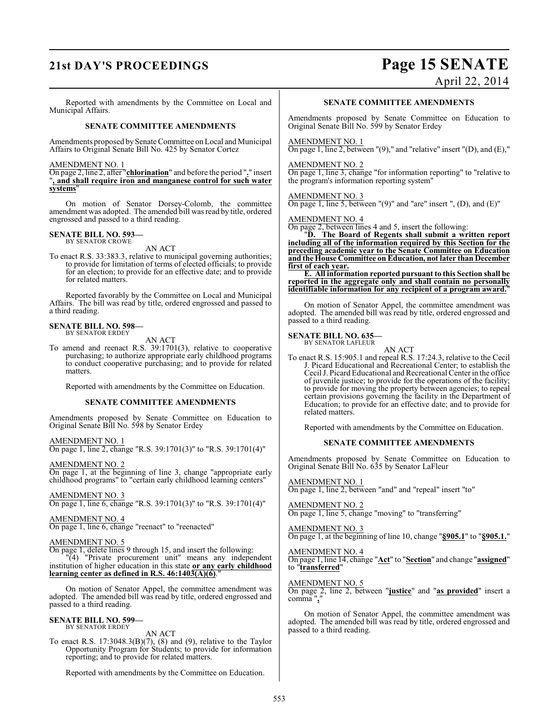# **21st DAY'S PROCEEDINGS Page 15 SENATE**

April 22, 2014

Reported with amendments by the Committee on Local and Municipal Affairs.

#### **SENATE COMMITTEE AMENDMENTS**

Amendments proposed by Senate Committee on Local and Municipal Affairs to Original Senate Bill No. 425 by Senator Cortez

#### AMENDMENT NO. 1

On page 2, line 2, after "**chlorination**" and before the period "**.**" insert "**, and shall require iron and manganese control for such water systems**"

On motion of Senator Dorsey-Colomb, the committee amendment was adopted. The amended bill was read by title, ordered engrossed and passed to a third reading.

### **SENATE BILL NO. 593—** BY SENATOR CROWE

AN ACT

To enact R.S. 33:383.3, relative to municipal governing authorities; to provide for limitation of terms of elected officials; to provide for an election; to provide for an effective date; and to provide for related matters.

Reported favorably by the Committee on Local and Municipal Affairs. The bill was read by title, ordered engrossed and passed to a third reading.

### **SENATE BILL NO. 598—** BY SENATOR ERDEY

AN ACT

To amend and reenact R.S. 39:1701(3), relative to cooperative purchasing; to authorize appropriate early childhood programs to conduct cooperative purchasing; and to provide for related matters.

Reported with amendments by the Committee on Education.

#### **SENATE COMMITTEE AMENDMENTS**

Amendments proposed by Senate Committee on Education to Original Senate Bill No. 598 by Senator Erdey

AMENDMENT NO. 1

On page 1, line 2, change "R.S. 39:1701(3)" to "R.S. 39:1701(4)"

AMENDMENT NO. 2

On page 1, at the beginning of line 3, change "appropriate early childhood programs" to "certain early childhood learning centers"

AMENDMENT NO. 3 On page 1, line 6, change "R.S. 39:1701(3)" to "R.S. 39:1701(4)"

#### AMENDMENT NO. 4

On page 1, line 6, change "reenact" to "reenacted"

#### AMENDMENT NO. 5

On page 1, delete lines 9 through 15, and insert the following:

"(4) "Private procurement unit" means any independent institution of higher education in this state **or any early childhood** learning center as defined in R.S. 46:1403(A)(6).

On motion of Senator Appel, the committee amendment was adopted. The amended bill was read by title, ordered engrossed and passed to a third reading.

### **SENATE BILL NO. 599—** BY SENATOR ERDEY

AN ACT

To enact R.S. 17:3048.3(B)(7), (8) and (9), relative to the Taylor Opportunity Program for Students; to provide for information reporting; and to provide for related matters.

Reported with amendments by the Committee on Education.

#### **SENATE COMMITTEE AMENDMENTS**

Amendments proposed by Senate Committee on Education to Original Senate Bill No. 599 by Senator Erdey

#### AMENDMENT NO. 1

On page 1, line 2, between  $'(9)$ ," and "relative" insert  $'(D)$ , and  $(E)$ ,"

#### AMENDMENT NO. 2

On page 1, line 3, change "for information reporting" to "relative to the program's information reporting system"

#### AMENDMENT NO. 3

On page 1, line 5, between "(9)" and "are" insert ", (D), and (E)"

#### AMENDMENT NO. 4

On page 2, between lines 4 and 5, insert the following:

"**D. The Board of Regents shall submit a written report including all of the information required by this Section for the preceding academic year to the Senate Committee on Education and the House Committee on Education, not later than December first of each year.**

**E. All information reported pursuant to this Section shall be reported in the aggregate only and shall contain no personally identifiable information for any recipient of a program award.**"

On motion of Senator Appel, the committee amendment was adopted. The amended bill was read by title, ordered engrossed and passed to a third reading.

#### **SENATE BILL NO. 635—** BY SENATOR LAFLEUR

AN ACT

To enact R.S. 15:905.1 and repeal R.S. 17:24.3, relative to the Cecil J. Picard Educational and Recreational Center; to establish the Cecil J. Picard Educational and Recreational Center in the office of juvenile justice; to provide for the operations of the facility; to provide for moving the property between agencies; to repeal certain provisions governing the facility in the Department of Education; to provide for an effective date; and to provide for related matters.

Reported with amendments by the Committee on Education.

#### **SENATE COMMITTEE AMENDMENTS**

Amendments proposed by Senate Committee on Education to Original Senate Bill No. 635 by Senator LaFleur

#### AMENDMENT NO. 1

On page 1, line 2, between "and" and "repeal" insert "to"

#### AMENDMENT NO. 2

On page 1, line 5, change "moving" to "transferring"

#### AMENDMENT NO. 3

On page 1, at the beginning of line 10, change "**§905.1**" to "**§905.1.**"

#### AMENDMENT NO. 4

On page 1, line 14, change "**Act**" to "**Section**" and change "**assigned**" to "**transferred**"

#### AMENDMENT NO. 5

On page 2, line 2, between "**justice**" and "**as provided**" insert a comma",

On motion of Senator Appel, the committee amendment was adopted. The amended bill was read by title, ordered engrossed and passed to a third reading.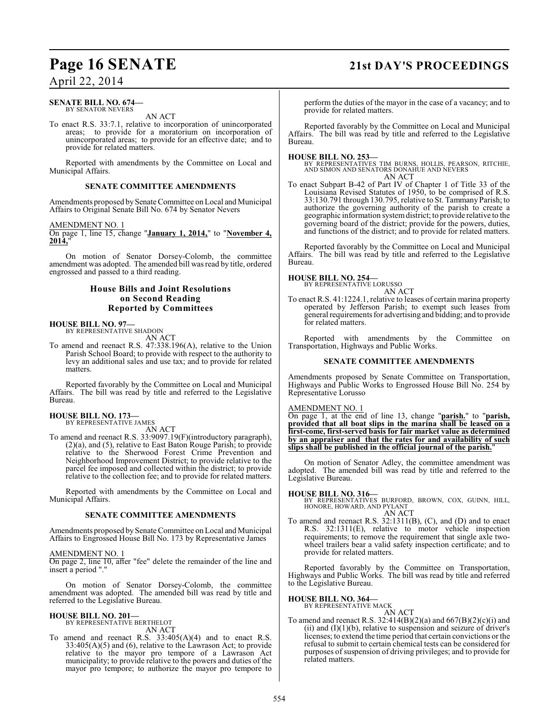#### **SENATE BILL NO. 674—** BY SENATOR NEVERS

AN ACT

To enact R.S. 33:7.1, relative to incorporation of unincorporated areas; to provide for a moratorium on incorporation of unincorporated areas; to provide for an effective date; and to provide for related matters.

Reported with amendments by the Committee on Local and Municipal Affairs.

#### **SENATE COMMITTEE AMENDMENTS**

Amendments proposed by Senate Committee on Local and Municipal Affairs to Original Senate Bill No. 674 by Senator Nevers

#### AMENDMENT NO. 1

On page 1, line 15, change "**January 1, 2014,**" to "**November 4, 2014,**"

On motion of Senator Dorsey-Colomb, the committee amendment was adopted. The amended bill was read by title, ordered engrossed and passed to a third reading.

#### **House Bills and Joint Resolutions on Second Reading Reported by Committees**

#### **HOUSE BILL NO. 97—** BY REPRESENTATIVE SHADOIN

AN ACT

To amend and reenact R.S. 47:338.196(A), relative to the Union Parish School Board; to provide with respect to the authority to levy an additional sales and use tax; and to provide for related matters.

Reported favorably by the Committee on Local and Municipal Affairs. The bill was read by title and referred to the Legislative Bureau.

# **HOUSE BILL NO. 173—** BY REPRESENTATIVE JAMES

AN ACT

To amend and reenact R.S. 33:9097.19(F)(introductory paragraph), (2)(a), and (5), relative to East Baton Rouge Parish; to provide relative to the Sherwood Forest Crime Prevention and Neighborhood Improvement District; to provide relative to the parcel fee imposed and collected within the district; to provide relative to the collection fee; and to provide for related matters.

Reported with amendments by the Committee on Local and Municipal Affairs.

#### **SENATE COMMITTEE AMENDMENTS**

Amendments proposed by Senate Committee on Local and Municipal Affairs to Engrossed House Bill No. 173 by Representative James

#### AMENDMENT NO. 1

On page 2, line 10, after "fee" delete the remainder of the line and insert a period "."

On motion of Senator Dorsey-Colomb, the committee amendment was adopted. The amended bill was read by title and referred to the Legislative Bureau.

#### **HOUSE BILL NO. 201—** BY REPRESENTATIVE BERTHELOT

AN ACT

To amend and reenact R.S. 33:405(A)(4) and to enact R.S. 33:405(A)(5) and (6), relative to the Lawrason Act; to provide relative to the mayor pro tempore of a Lawrason Act municipality; to provide relative to the powers and duties of the mayor pro tempore; to authorize the mayor pro tempore to

# **Page 16 SENATE 21st DAY'S PROCEEDINGS**

perform the duties of the mayor in the case of a vacancy; and to provide for related matters.

Reported favorably by the Committee on Local and Municipal Affairs. The bill was read by title and referred to the Legislative Bureau.

#### **HOUSE BILL NO. 253—**

BY REPRESENTATIVES TIM BURNS, HOLLIS, PEARSON, RITCHIE, AND SIMON AND SENATORS DONAHUE AND NEVERS AN ACT

To enact Subpart B-42 of Part IV of Chapter 1 of Title 33 of the Louisiana Revised Statutes of 1950, to be comprised of R.S. 33:130.791 through 130.795, relative to St. Tammany Parish; to authorize the governing authority of the parish to create a geographic information system district; to provide relative to the governing board of the district; provide for the powers, duties, and functions of the district; and to provide for related matters.

Reported favorably by the Committee on Local and Municipal Affairs. The bill was read by title and referred to the Legislative Bureau.

### **HOUSE BILL NO. 254—** BY REPRESENTATIVE LORUSSO

AN ACT

To enact R.S. 41:1224.1, relative to leases of certain marina property operated by Jefferson Parish; to exempt such leases from general requirements for advertising and bidding; and to provide for related matters.

Reported with amendments by the Committee on Transportation, Highways and Public Works.

#### **SENATE COMMITTEE AMENDMENTS**

Amendments proposed by Senate Committee on Transportation, Highways and Public Works to Engrossed House Bill No. 254 by Representative Lorusso

#### AMENDMENT NO. 1

On page 1, at the end of line 13, change "**parish.**" to "**parish, provided that all boat slips in the marina shall be leased on a first-come, first-served basis for fair market value as determined by an appraiser and that the rates for and availability of such slips shall be published in the official journal of the parish.**"

On motion of Senator Adley, the committee amendment was adopted. The amended bill was read by title and referred to the Legislative Bureau.

**HOUSE BILL NO. 316—** BY REPRESENTATIVES BURFORD, BROWN, COX, GUINN, HILL, HONORE, HOWARD, AND PYLANT AN ACT

To amend and reenact R.S. 32:1311(B), (C), and (D) and to enact R.S. 32:1311(E), relative to motor vehicle inspection requirements; to remove the requirement that single axle twowheel trailers bear a valid safety inspection certificate; and to provide for related matters.

Reported favorably by the Committee on Transportation, Highways and Public Works. The bill was read by title and referred to the Legislative Bureau.

#### **HOUSE BILL NO. 364—**

BY REPRESENTATIVE MACK AN ACT

To amend and reenact R.S. 32:414(B)(2)(a) and  $667(B)(2)(c)(i)$  and (ii) and  $(I)(1)(b)$ , relative to suspension and seizure of driver's licenses; to extend the time period that certain convictions or the refusal to submit to certain chemical tests can be considered for purposes of suspension of driving privileges; and to provide for related matters.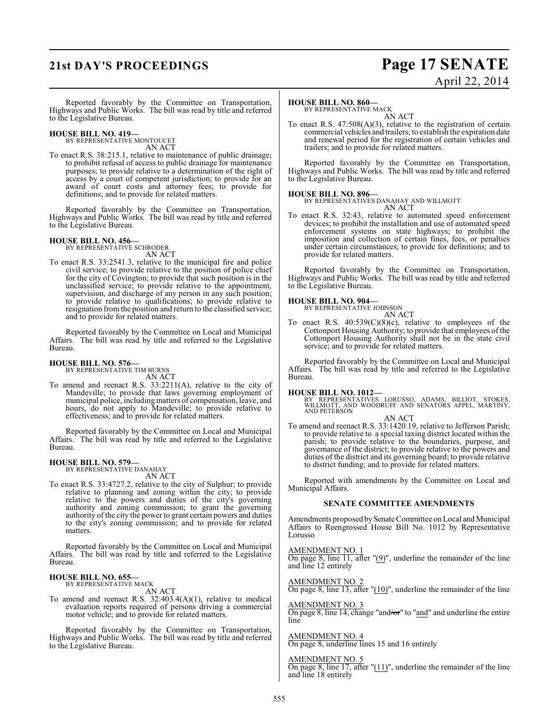# **21st DAY'S PROCEEDINGS Page 17 SENATE**

# April 22, 2014

Reported favorably by the Committee on Transportation, Highways and Public Works. The bill was read by title and referred to the Legislative Bureau.

#### **HOUSE BILL NO. 419—** BY REPRESENTATIVE MONTOUCET

AN ACT

To enact R.S. 38:215.1, relative to maintenance of public drainage; to prohibit refusal of access to public drainage for maintenance purposes; to provide relative to a determination of the right of access by a court of competent jurisdiction; to provide for an award of court costs and attorney fees; to provide for definitions; and to provide for related matters.

Reported favorably by the Committee on Transportation, Highways and Public Works. The bill was read by title and referred to the Legislative Bureau.

#### **HOUSE BILL NO. 456—** BY REPRESENTATIVE SCHRODER

AN ACT

To enact R.S. 33:2541.3, relative to the municipal fire and police civil service; to provide relative to the position of police chief for the city of Covington; to provide that such position is in the unclassified service; to provide relative to the appointment, supervision, and discharge of any person in any such position; to provide relative to qualifications; to provide relative to resignation from the position and return to the classified service; and to provide for related matters.

Reported favorably by the Committee on Local and Municipal Affairs. The bill was read by title and referred to the Legislative Bureau.

#### **HOUSE BILL NO. 576—**

BY REPRESENTATIVE TIM BURNS AN ACT

To amend and reenact R.S. 33:2211(A), relative to the city of Mandeville; to provide that laws governing employment of municipal police, including matters of compensation, leave, and hours, do not apply to Mandeville; to provide relative to effectiveness; and to provide for related matters.

Reported favorably by the Committee on Local and Municipal Affairs. The bill was read by title and referred to the Legislative Bureau.

#### **HOUSE BILL NO. 579—**

BY REPRESENTATIVE DANAHAY AN ACT

To enact R.S. 33:4727.2, relative to the city of Sulphur; to provide relative to planning and zoning within the city; to provide relative to the powers and duties of the city's governing authority and zoning commission; to grant the governing authority of the city the power to grant certain powers and duties to the city's zoning commission; and to provide for related matters.

Reported favorably by the Committee on Local and Municipal Affairs. The bill was read by title and referred to the Legislative Bureau.

#### **HOUSE BILL NO. 655—** BY REPRESENTATIVE MACK

AN ACT

To amend and reenact R.S. 32:403.4(A)(1), relative to medical evaluation reports required of persons driving a commercial motor vehicle; and to provide for related matters.

Reported favorably by the Committee on Transportation, Highways and Public Works. The bill was read by title and referred to the Legislative Bureau.

#### **HOUSE BILL NO. 860—**

BY REPRESENTATIVE MACK AN ACT

To enact R.S. 47:508(A)(3), relative to the registration of certain commercial vehicles and trailers; to establish the expiration date and renewal period for the registration of certain vehicles and trailers; and to provide for related matters.

Reported favorably by the Committee on Transportation, Highways and Public Works. The bill was read by title and referred to the Legislative Bureau.

### **HOUSE BILL NO. 896—**

BY REPRESENTATIVES DANAHAY AND WILLMOTT AN ACT

To enact R.S. 32:43, relative to automated speed enforcement devices; to prohibit the installation and use of automated speed enforcement systems on state highways; to prohibit the imposition and collection of certain fines, fees, or penalties under certain circumstances; to provide for definitions; and to provide for related matters.

Reported favorably by the Committee on Transportation, Highways and Public Works. The bill was read by title and referred to the Legislative Bureau.

#### **HOUSE BILL NO. 904—**

BY REPRESENTATIVE JOHNSON

- AN ACT
- To enact R.S.  $40:539(C)(8)(c)$ , relative to employees of the Cottonport Housing Authority; to provide that employees of the Cottonport Housing Authority shall not be in the state civil service; and to provide for related matters.

Reported favorably by the Committee on Local and Municipal Affairs. The bill was read by title and referred to the Legislative Bureau.

#### **HOUSE BILL NO. 1012—**

BY REPRESENTATIVES LORUSSO, ADAMS, BILLIOT, STOKES, WILLMOTT, AND WOODRUFF AND SENATORS APPEL, MARTINY, AND PETERSON

AN ACT To amend and reenact R.S. 33:1420.19, relative to Jefferson Parish; to provide relative to a special taxing district located within the parish; to provide relative to the boundaries, purpose, and governance of the district; to provide relative to the powers and duties of the district and its governing board; to provide relative to district funding; and to provide for related matters.

Reported with amendments by the Committee on Local and Municipal Affairs.

#### **SENATE COMMITTEE AMENDMENTS**

Amendments proposed by Senate Committee on Local and Municipal Affairs to Reengrossed House Bill No. 1012 by Representative Lorusso

#### AMENDMENT NO. 1

On page 8, line 11, after "(9)", underline the remainder of the line and line 12 entirely

AMENDMENT NO. 2 On page 8, line 13, after  $!(10)$ ", underline the remainder of the line

#### AMENDMENT NO. 3

On page 8, line 14, change "and/or" to "and" and underline the entire line

AMENDMENT NO. 4 On page 8, underline lines 15 and 16 entirely

AMENDMENT NO. 5

On page 8, line 17, after "(11)", underline the remainder of the line and line 18 entirely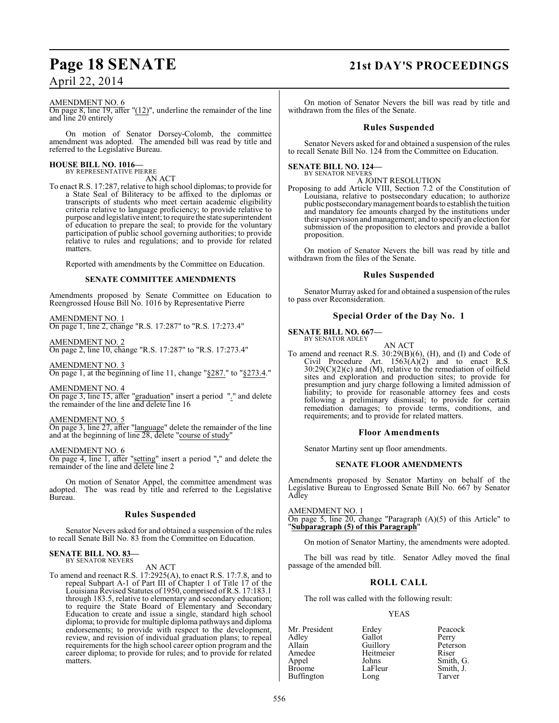#### AMENDMENT NO. 6

On page 8, line 19, after "(12)", underline the remainder of the line and line 20 entirely

On motion of Senator Dorsey-Colomb, the committee amendment was adopted. The amended bill was read by title and referred to the Legislative Bureau.

# **HOUSE BILL NO. 1016—** BY REPRESENTATIVE PIERRE

AN ACT

To enact R.S. 17:287, relative to high school diplomas; to provide for a State Seal of Biliteracy to be affixed to the diplomas or transcripts of students who meet certain academic eligibility criteria relative to language proficiency; to provide relative to purpose and legislative intent; to require the state superintendent of education to prepare the seal; to provide for the voluntary participation of public school governing authorities; to provide relative to rules and regulations; and to provide for related matters.

Reported with amendments by the Committee on Education.

#### **SENATE COMMITTEE AMENDMENTS**

Amendments proposed by Senate Committee on Education to Reengrossed House Bill No. 1016 by Representative Pierre

#### AMENDMENT NO. 1

On page 1, line 2, change "R.S. 17:287" to "R.S. 17:273.4"

### AMENDMENT NO. 2

On page 2, line 10, change "R.S. 17:287" to "R.S. 17:273.4"

AMENDMENT NO. 3 On page 1, at the beginning of line 11, change "§287." to "§273.4."

AMENDMENT NO. 4 On page 3, line 15, after "graduation" insert a period "." and delete the remainder of the line and delete line 16

AMENDMENT NO. 5

On page 3, line 27, after "language" delete the remainder of the line and at the beginning of line 28, delete "course of study"

AMENDMENT NO. 6

On page 4, line 1, after "setting" insert a period "**.**" and delete the remainder of the line and delete line 2

On motion of Senator Appel, the committee amendment was adopted. The was read by title and referred to the Legislative Bureau.

#### **Rules Suspended**

Senator Nevers asked for and obtained a suspension of the rules to recall Senate Bill No. 83 from the Committee on Education.

#### **SENATE BILL NO. 83—** BY SENATOR NEVERS

AN ACT

To amend and reenact R.S. 17:2925(A), to enact R.S. 17:7.8, and to repeal Subpart A-1 of Part III of Chapter 1 of Title 17 of the Louisiana Revised Statutes of 1950, comprised of R.S. 17:183.1 through 183.5, relative to elementary and secondary education; to require the State Board of Elementary and Secondary Education to create and issue a single, standard high school diploma; to provide for multiple diploma pathways and diploma endorsements; to provide with respect to the development, review, and revision of individual graduation plans; to repeal requirements for the high school career option program and the career diploma; to provide for rules; and to provide for related matters.

### **Page 18 SENATE 21st DAY'S PROCEEDINGS**

On motion of Senator Nevers the bill was read by title and withdrawn from the files of the Senate.

#### **Rules Suspended**

Senator Nevers asked for and obtained a suspension of the rules to recall Senate Bill No. 124 from the Committee on Education.

**SENATE BILL NO. 124—** BY SENATOR NEVERS

#### A JOINT RESOLUTION

Proposing to add Article VIII, Section 7.2 of the Constitution of Louisiana, relative to postsecondary education; to authorize public postsecondary management boards to establish the tuition and mandatory fee amounts charged by the institutions under their supervision and management; and to specify an election for submission of the proposition to electors and provide a ballot proposition.

On motion of Senator Nevers the bill was read by title and withdrawn from the files of the Senate.

#### **Rules Suspended**

Senator Murray asked for and obtained a suspension of the rules to pass over Reconsideration.

#### **Special Order of the Day No. 1**

**SENATE BILL NO. 667—**

BY SENATOR ADLEY

AN ACT To amend and reenact R.S. 30:29(B)(6), (H), and (I) and Code of Civil Procedure Art.  $1563(A)(2)$  and to enact R.S.  $30:29(C)(2)(c)$  and (M), relative to the remediation of oilfield sites and exploration and production sites; to provide for presumption and jury charge following a limited admission of liability; to provide for reasonable attorney fees and costs following a preliminary dismissal; to provide for certain remediation damages; to provide terms, conditions, and requirements; and to provide for related matters.

#### **Floor Amendments**

Senator Martiny sent up floor amendments.

#### **SENATE FLOOR AMENDMENTS**

Amendments proposed by Senator Martiny on behalf of the Legislative Bureau to Engrossed Senate Bill No. 667 by Senator Adley

AMENDMENT NO. 1

On page 5, line 20, change "Paragraph (A)(5) of this Article" to "**Subparagraph (5) of this Paragraph**"

On motion of Senator Martiny, the amendments were adopted.

The bill was read by title. Senator Adley moved the final passage of the amended bill.

### **ROLL CALL**

The roll was called with the following result:

#### YEAS

Mr. President Erdey Peacock<br>Adley Gallot Perry Adley Gallot Perry Allain Guillory Peters<br>Amedee Heitmeier Riser Amedee Heitmeier<br>Appel Johns Appel Johns Smith, G. Buffington

LaFleur Smith,<br>Long Tarver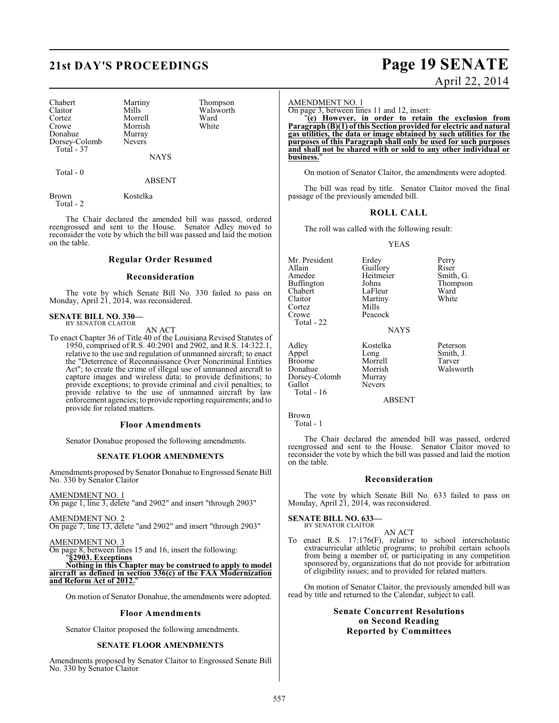# **21st DAY'S PROCEEDINGS Page 19 SENATE**

| Chabert       |
|---------------|
| Claitor       |
| Cortez        |
| Crowe         |
| Donahue       |
| Dorsey-Colomb |
| Total - 37    |

Martiny Thompson<br>Mills Walsworth Walsworth<br>Ward Morrell Ward<br>
Morrish White

NAYS

Total - 0

ABSENT

Brown Kostelka Total - 2

Morrish Murray Nevers

The Chair declared the amended bill was passed, ordered reengrossed and sent to the House. Senator Adley moved to reconsider the vote by which the bill was passed and laid the motion on the table.

#### **Regular Order Resumed**

#### **Reconsideration**

The vote by which Senate Bill No. 330 failed to pass on Monday, April 21, 2014, was reconsidered.

#### **SENATE BILL NO. 330—** BY SENATOR CLAITOR

AN ACT

To enact Chapter 36 of Title 40 of the Louisiana Revised Statutes of 1950, comprised of R.S. 40:2901 and 2902, and R.S. 14:322.1, relative to the use and regulation of unmanned aircraft; to enact the "Deterrence of Reconnaissance Over Noncriminal Entities Act"; to create the crime of illegal use of unmanned aircraft to capture images and wireless data; to provide definitions; to provide exceptions; to provide criminal and civil penalties; to provide relative to the use of unmanned aircraft by law enforcement agencies; to provide reporting requirements; and to provide for related matters.

#### **Floor Amendments**

Senator Donahue proposed the following amendments.

#### **SENATE FLOOR AMENDMENTS**

Amendments proposed by Senator Donahue to Engrossed Senate Bill No. 330 by Senator Claitor

AMENDMENT NO. 1 On page 1, line 3, delete "and 2902" and insert "through 2903"

AMENDMENT NO. 2 On page 7, line 13, delete "and 2902" and insert "through 2903"

AMENDMENT NO. 3

On page 8, between lines 15 and 16, insert the following: "**§2903. Exceptions**

**Nothing in this Chapter may be construed to apply to model aircraft as defined in section 336(c) of the FAA Modernization** and Reform Act of 2012.

On motion of Senator Donahue, the amendments were adopted.

#### **Floor Amendments**

Senator Claitor proposed the following amendments.

#### **SENATE FLOOR AMENDMENTS**

Amendments proposed by Senator Claitor to Engrossed Senate Bill No. 330 by Senator Claitor

# April 22, 2014

AMENDMENT NO. 1

On page 3, between lines 11 and 12, insert:

"**(e) However, in order to retain the exclusion from Paragraph (B)(1) of this Section provided for electric and natural gas utilities, the data or image obtained by such utilities for the purposes of this Paragraph shall only be used for such purposes and shall not be shared with or sold to any other individual or business.**"

On motion of Senator Claitor, the amendments were adopted.

The bill was read by title. Senator Claitor moved the final passage of the previously amended bill.

#### **ROLL CALL**

The roll was called with the following result:

Martiny<br>Mills

Peacock

Nevers

YEAS

Mr. President Erdey Perry<br>Allain Guillory Riser Allain Guillory Riser<br>Amedee Heitmeier Smith, G. Buffington Johns Thom<br>
Chabert LaFleur Ward Chabert LaFleur Ward<br>Claitor Martiny White Cortez<br>Crowe Total - 22

Adley Kostelka Peterson Broome Morrell<br>
Donahue Morrish Dorsey-Colomb<br>Gallot Total - 16

Heitmeier Smith, G.<br>Johns Thompson

**NAYS** 

Long Smith, J.<br>Morrell Tarver Morrish Walsworth<br>Murrav

ABSENT

Brown Total - 1

The Chair declared the amended bill was passed, ordered reengrossed and sent to the House. Senator Claitor moved to reconsider the vote by which the bill was passed and laid the motion on the table.

#### **Reconsideration**

The vote by which Senate Bill No. 633 failed to pass on Monday, April 21, 2014, was reconsidered.

#### **SENATE BILL NO. 633—** BY SENATOR CLAITOR

- AN ACT
- To enact R.S. 17:176(F), relative to school interscholastic extracurricular athletic programs; to prohibit certain schools from being a member of, or participating in any competition sponsored by, organizations that do not provide for arbitration of eligibility issues; and to provided for related matters.

On motion of Senator Claitor, the previously amended bill was read by title and returned to the Calendar, subject to call.

#### **Senate Concurrent Resolutions on Second Reading Reported by Committees**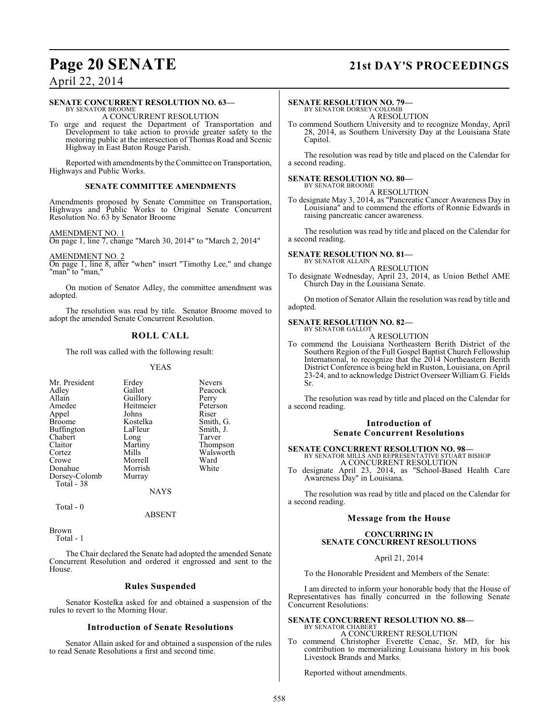### **Page 20 SENATE 21st DAY'S PROCEEDINGS**

### April 22, 2014

#### **SENATE CONCURRENT RESOLUTION NO. 63—** BY SENATOR BROOME

A CONCURRENT RESOLUTION

To urge and request the Department of Transportation and Development to take action to provide greater safety to the motoring public at the intersection of Thomas Road and Scenic Highway in East Baton Rouge Parish.

Reported with amendments by the Committee on Transportation, Highways and Public Works.

#### **SENATE COMMITTEE AMENDMENTS**

Amendments proposed by Senate Committee on Transportation, Highways and Public Works to Original Senate Concurrent Resolution No. 63 by Senator Broome

AMENDMENT NO. 1

On page 1, line 7, change "March 30, 2014" to "March 2, 2014"

AMENDMENT NO. 2

On page 1, line 8, after "when" insert "Timothy Lee," and change "man" to "man,"

On motion of Senator Adley, the committee amendment was adopted.

The resolution was read by title. Senator Broome moved to adopt the amended Senate Concurrent Resolution.

#### **ROLL CALL**

The roll was called with the following result:

#### YEAS

| Mr. President | Erdey     | <b>Nevers</b> |
|---------------|-----------|---------------|
| Adley         | Gallot    | Peacock       |
| Allain        | Guillory  | Perry         |
| Amedee        | Heitmeier | Peterson      |
| Appel         | Johns     | Riser         |
| <b>Broome</b> | Kostelka  | Smith, G.     |
| Buffington    | LaFleur   | Smith, J.     |
| Chabert       | Long      | Tarver        |
| Claitor       | Martiny   | Thompson      |
| Cortez        | Mills     | Walsworth     |
| Crowe         | Morrell   | Ward          |
| Donahue       | Morrish   | White         |
| Dorsey-Colomb | Murray    |               |
| Total - 38    |           |               |
|               | NAYS      |               |

Total - 0

ABSENT

Brown Total - 1

The Chair declared the Senate had adopted the amended Senate Concurrent Resolution and ordered it engrossed and sent to the House.

#### **Rules Suspended**

Senator Kostelka asked for and obtained a suspension of the rules to revert to the Morning Hour.

#### **Introduction of Senate Resolutions**

Senator Allain asked for and obtained a suspension of the rules to read Senate Resolutions a first and second time.

#### **SENATE RESOLUTION NO. 79—** BY SENATOR DORSEY-COLOMB

A RESOLUTION

To commend Southern University and to recognize Monday, April 28, 2014, as Southern University Day at the Louisiana State Capitol.

The resolution was read by title and placed on the Calendar for a second reading.

#### **SENATE RESOLUTION NO. 80—** BY SENATOR BROOME

A RESOLUTION

To designate May 3, 2014, as "Pancreatic Cancer Awareness Day in Louisiana" and to commend the efforts of Ronnie Edwards in raising pancreatic cancer awareness.

The resolution was read by title and placed on the Calendar for a second reading.

#### **SENATE RESOLUTION NO. 81—** BY SENATOR ALLAIN

A RESOLUTION

To designate Wednesday, April 23, 2014, as Union Bethel AME Church Day in the Louisiana Senate.

On motion of Senator Allain the resolution was read by title and adopted.

#### **SENATE RESOLUTION NO. 82—** BY SENATOR GALLOT

A RESOLUTION

To commend the Louisiana Northeastern Berith District of the Southern Region of the Full Gospel Baptist Church Fellowship International, to recognize that the 2014 Northeastern Berith District Conference is being held in Ruston, Louisiana, on April 23-24, and to acknowledge District Overseer William G. Fields Sr.

The resolution was read by title and placed on the Calendar for a second reading.

#### **Introduction of Senate Concurrent Resolutions**

### **SENATE CONCURRENT RESOLUTION NO. 98—** BY SENATOR MILLS AND REPRESENTATIVE STUART BISHOP A CONCURRENT RESOLUTION

To designate April 23, 2014, as "School-Based Health Care Awareness Day" in Louisiana.

The resolution was read by title and placed on the Calendar for a second reading.

#### **Message from the House**

#### **CONCURRING IN SENATE CONCURRENT RESOLUTIONS**

April 21, 2014

To the Honorable President and Members of the Senate:

I am directed to inform your honorable body that the House of Representatives has finally concurred in the following Senate Concurrent Resolutions:

### **SENATE CONCURRENT RESOLUTION NO. 88—** BY SENATOR CHABERT

A CONCURRENT RESOLUTION

To commend Christopher Everette Cenac, Sr. MD, for his contribution to memorializing Louisiana history in his book Livestock Brands and Marks.

Reported without amendments.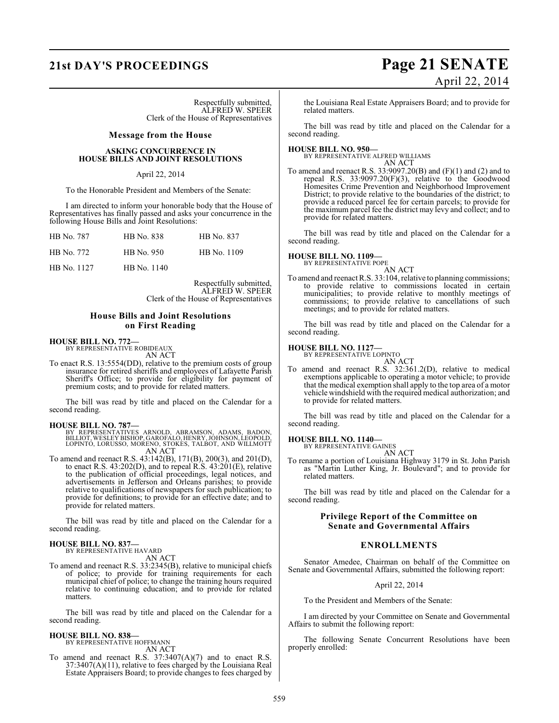Respectfully submitted, ALFRED W. SPEER Clerk of the House of Representatives

#### **Message from the House**

#### **ASKING CONCURRENCE IN HOUSE BILLS AND JOINT RESOLUTIONS**

#### April 22, 2014

To the Honorable President and Members of the Senate:

I am directed to inform your honorable body that the House of Representatives has finally passed and asks your concurrence in the following House Bills and Joint Resolutions:

| HB No. 787  | HB No. 838  | HB No. 837  |
|-------------|-------------|-------------|
| HB No. 772  | HB No. 950  | HB No. 1109 |
| HB No. 1127 | HB No. 1140 |             |

Respectfully submitted, ALFRED W. SPEER Clerk of the House of Representatives

#### **House Bills and Joint Resolutions on First Reading**

### **HOUSE BILL NO. 772—** BY REPRESENTATIVE ROBIDEAUX

AN ACT

To enact R.S. 13:5554(DD), relative to the premium costs of group insurance for retired sheriffs and employees of Lafayette Parish Sheriff's Office; to provide for eligibility for payment of premium costs; and to provide for related matters.

The bill was read by title and placed on the Calendar for a second reading.

- **HOUSE BILL NO. 787—**<br>BY REPRESENTATIVES ARNOLD, ABRAMSON, ADAMS, BADON,<br>BILLIOT, WESLEY BISHOP, GAROFALO, HENRY, JOHNSON, LEOPOLD,<br>LOPINTO, LORUSSO, MORENO, STOKES, TALBOT, AND WILLMOTT<br>AN ACT
- To amend and reenact R.S. 43:142(B), 171(B), 200(3), and 201(D), to enact R.S. 43:202(D), and to repeal R.S. 43:201(E), relative to the publication of official proceedings, legal notices, and advertisements in Jefferson and Orleans parishes; to provide relative to qualifications of newspapers for such publication; to provide for definitions; to provide for an effective date; and to provide for related matters.

The bill was read by title and placed on the Calendar for a second reading.

#### **HOUSE BILL NO. 837—**

BY REPRESENTATIVE HAVARD AN ACT

To amend and reenact R.S. 33:2345(B), relative to municipal chiefs of police; to provide for training requirements for each municipal chief of police; to change the training hours required relative to continuing education; and to provide for related matters.

The bill was read by title and placed on the Calendar for a second reading.

#### **HOUSE BILL NO. 838—**

BY REPRESENTATIVE HOFFMANN AN ACT

To amend and reenact R.S. 37:3407(A)(7) and to enact R.S. 37:3407(A)(11), relative to fees charged by the Louisiana Real Estate Appraisers Board; to provide changes to fees charged by

### **21st DAY'S PROCEEDINGS Page 21 SENATE** April 22, 2014

the Louisiana Real Estate Appraisers Board; and to provide for related matters.

The bill was read by title and placed on the Calendar for a second reading.

**HOUSE BILL NO. 950—** BY REPRESENTATIVE ALFRED WILLIAMS AN ACT

To amend and reenact R.S. 33:9097.20(B) and (F)(1) and (2) and to repeal R.S. 33:9097.20(F)(3), relative to the Goodwood Homesites Crime Prevention and Neighborhood Improvement District; to provide relative to the boundaries of the district; to provide a reduced parcel fee for certain parcels; to provide for the maximum parcel fee the district may levy and collect; and to provide for related matters.

The bill was read by title and placed on the Calendar for a second reading.

#### **HOUSE BILL NO. 1109—**

BY REPRESENTATIVE POPE AN ACT

To amend and reenact R.S. 33:104, relative to planning commissions; to provide relative to commissions located in certain municipalities; to provide relative to monthly meetings of commissions; to provide relative to cancellations of such meetings; and to provide for related matters.

The bill was read by title and placed on the Calendar for a second reading.

### **HOUSE BILL NO. 1127—** BY REPRESENTATIVE LOPINTO

AN ACT

To amend and reenact R.S. 32:361.2(D), relative to medical exemptions applicable to operating a motor vehicle; to provide that the medical exemption shall apply to the top area of a motor vehicle windshield with the required medical authorization; and to provide for related matters.

The bill was read by title and placed on the Calendar for a second reading.

### **HOUSE BILL NO. 1140—** BY REPRESENTATIVE GAINES

AN ACT

To rename a portion of Louisiana Highway 3179 in St. John Parish as "Martin Luther King, Jr. Boulevard"; and to provide for related matters.

The bill was read by title and placed on the Calendar for a second reading.

#### **Privilege Report of the Committee on Senate and Governmental Affairs**

#### **ENROLLMENTS**

Senator Amedee, Chairman on behalf of the Committee on Senate and Governmental Affairs, submitted the following report:

#### April 22, 2014

To the President and Members of the Senate:

I am directed by your Committee on Senate and Governmental Affairs to submit the following report:

The following Senate Concurrent Resolutions have been properly enrolled: